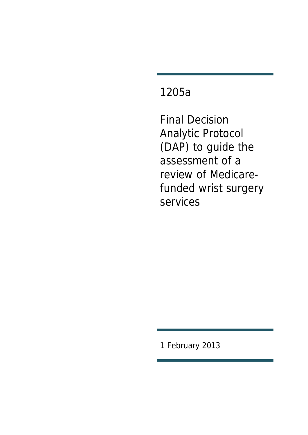# 1205a

Final Decision Analytic Protocol (DAP) to guide the assessment of a review of Medicarefunded wrist surgery services

1 February 2013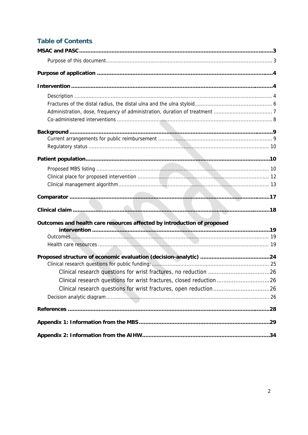# **Table of Contents**

| Outcomes and health care resources affected by introduction of proposed |  |
|-------------------------------------------------------------------------|--|
|                                                                         |  |
|                                                                         |  |
|                                                                         |  |
|                                                                         |  |
|                                                                         |  |
|                                                                         |  |
| Clinical research questions for wrist fractures, closed reduction26     |  |
| Clinical research questions for wrist fractures, open reduction26       |  |
|                                                                         |  |
|                                                                         |  |
|                                                                         |  |
|                                                                         |  |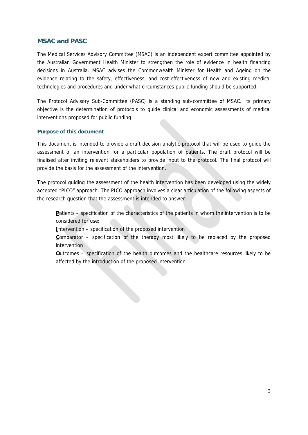### **MSAC and PASC**

The Medical Services Advisory Committee (MSAC) is an independent expert committee appointed by the Australian Government Health Minister to strengthen the role of evidence in health financing decisions in Australia. MSAC advises the Commonwealth Minister for Health and Ageing on the evidence relating to the safety, effectiveness, and cost-effectiveness of new and existing medical technologies and procedures and under what circumstances public funding should be supported.

The Protocol Advisory Sub-Committee (PASC) is a standing sub-committee of MSAC. Its primary objective is the determination of protocols to guide clinical and economic assessments of medical interventions proposed for public funding.

### **Purpose of this document**

This document is intended to provide a draft decision analytic protocol that will be used to guide the assessment of an intervention for a particular population of patients. The draft protocol will be finalised after inviting relevant stakeholders to provide input to the protocol. The final protocol will provide the basis for the assessment of the intervention.

The protocol guiding the assessment of the health intervention has been developed using the widely accepted "PICO" approach. The PICO approach involves a clear articulation of the following aspects of the research question that the assessment is intended to answer:

**P**atients – specification of the characteristics of the patients in whom the intervention is to be considered for use;

**I**ntervention – specification of the proposed intervention

**Comparator** – specification of the therapy most likely to be replaced by the proposed intervention

**O**utcomes – specification of the health outcomes and the healthcare resources likely to be affected by the introduction of the proposed intervention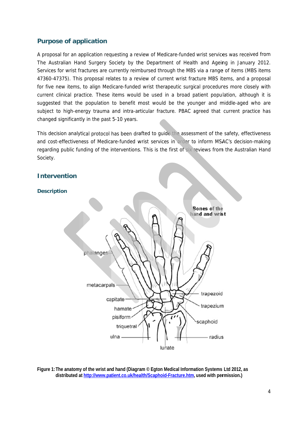### **Purpose of application**

A proposal for an application requesting a review of Medicare-funded wrist services was received from The Australian Hand Surgery Society by the Department of Health and Ageing in January 2012. Services for wrist fractures are currently reimbursed through the MBS via a range of items (MBS items 47360-47375). This proposal relates to a review of current wrist fracture MBS items, and a proposal for five new items, to align Medicare-funded wrist therapeutic surgical procedures more closely with current clinical practice. These items would be used in a broad patient population, although it is suggested that the population to benefit most would be the younger and middle-aged who are subject to high-energy trauma and intra-articular fracture. PBAC agreed that current practice has changed significantly in the past 5-10 years.

This decision analytical protocol has been drafted to guide the assessment of the safety, effectiveness and cost-effectiveness of Medicare-funded wrist services in order to inform MSAC's decision-making regarding public funding of the interventions. This is the first of six reviews from the Australian Hand Society.



Figure 1: The anatomy of the wrist and hand (Diagram © Egton Medical Information Systems Ltd 2012, as distributed at http://www.patient.co.uk/health/Scaphoid-Fracture.htm, used with permission.)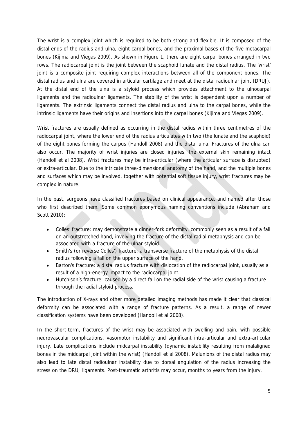The wrist is a complex joint which is required to be both strong and flexible. It is composed of the distal ends of the radius and ulna, eight carpal bones, and the proximal bases of the five metacarpal bones (Kijima and Viegas 2009). As shown in Figure 1, there are eight carpal bones arranged in two rows. The radiocarpal joint is the joint between the scaphoid lunate and the distal radius. The 'wrist' joint is a composite joint requiring complex interactions between all of the component bones. The distal radius and ulna are covered in articular cartilage and meet at the distal radioulnar joint (DRUJ). At the distal end of the ulna is a styloid process which provides attachment to the ulnocarpal ligaments and the radioulnar ligaments. The stability of the wrist is dependent upon a number of ligaments. The extrinsic ligaments connect the distal radius and ulna to the carpal bones, while the intrinsic ligaments have their origins and insertions into the carpal bones (Kijima and Viegas 2009).

Wrist fractures are usually defined as occurring in the distal radius within three centimetres of the radiocarpal joint, where the lower end of the radius articulates with two (the lunate and the scaphoid) of the eight bones forming the carpus (Handoll 2008) and the distal ulna. Fractures of the ulna can also occur. The majority of wrist injuries are closed injuries, the external skin remaining intact (Handoll et al 2008). Wrist fractures may be intra-articular (where the articular surface is disrupted) or extra-articular. Due to the intricate three-dimensional anatomy of the hand, and the multiple bones and surfaces which may be involved, together with potential soft tissue injury, wrist fractures may be complex in nature.

In the past, surgeons have classified fractures based on clinical appearance, and named after those who first described them. Some common eponymous naming conventions include (Abraham and Scott 2010):

- Colles' fracture: may demonstrate a dinner-fork deformity, commonly seen as a result of a fall on an outstretched hand, involving the fracture of the distal radial metaphysis and can be associated with a fracture of the ulnar styloid.
- Smith's (or reverse Colles') fracture: a transverse fracture of the metaphysis of the distal radius following a fall on the upper surface of the hand.
- Barton's fracture: a distal radius fracture with dislocation of the radiocarpal joint, usually as a result of a high-energy impact to the radiocarpal joint.
- Hutchison's fracture: caused by a direct fall on the radial side of the wrist causing a fracture through the radial styloid process.

The introduction of X-rays and other more detailed imaging methods has made it clear that classical deformity can be associated with a range of fracture patterns. As a result, a range of newer classification systems have been developed (Handoll et al 2008).

In the short-term, fractures of the wrist may be associated with swelling and pain, with possible neurovascular complications, vasomotor instability and significant intra-articular and extra-articular injury. Late complications include midcarpal instability (dynamic instability resulting from malaligned bones in the midcarpal joint within the wrist) (Handoll et al 2008). Malunions of the distal radius may also lead to late distal radioulnar instability due to dorsal angulation of the radius increasing the stress on the DRUJ ligaments. Post-traumatic arthritis may occur, months to years from the injury.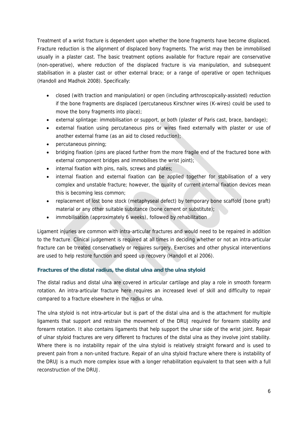Treatment of a wrist fracture is dependent upon whether the bone fragments have become displaced. Fracture reduction is the alignment of displaced bony fragments. The wrist may then be immobilised usually in a plaster cast. The basic treatment options available for fracture repair are conservative (non-operative), where reduction of the displaced fracture is via manipulation, and subsequent stabilisation in a plaster cast or other external brace; or a range of operative or open techniques (Handoll and Madhok 2008). Specifically:

- closed (with traction and manipulation) or open (including arthroscopically-assisted) reduction if the bone fragments are displaced (percutaneous Kirschner wires (K-wires) could be used to move the bony fragments into place);
- external splintage: immobilisation or support, or both (plaster of Paris cast, brace, bandage);
- external fixation using percutaneous pins or wires fixed externally with plaster or use of another external frame (as an aid to closed reduction);
- percutaneous pinning;
- bridging fixation (pins are placed further from the more fragile end of the fractured bone with external component bridges and immobilises the wrist joint);
- internal fixation with pins, nails, screws and plates;
- internal fixation and external fixation can be applied together for stabilisation of a very complex and unstable fracture; however, the quality of current internal fixation devices mean this is becoming less common;
- replacement of lost bone stock (metaphyseal defect) by temporary bone scaffold (bone graft) material or any other suitable substance (bone cement or substitute);
- immobilisation (approximately 6 weeks), followed by rehabilitation

Ligament injuries are common with intra-articular fractures and would need to be repaired in addition to the fracture. Clinical judgement is required at all times in deciding whether or not an intra-articular fracture can be treated conservatively or requires surgery. Exercises and other physical interventions are used to help restore function and speed up recovery (Handoll et al 2006).

### **Fractures of the distal radius, the distal ulna and the ulna styloid**

The distal radius and distal ulna are covered in articular cartilage and play a role in smooth forearm rotation. An intra-articular fracture here requires an increased level of skill and difficulty to repair compared to a fracture elsewhere in the radius or ulna.

The ulna styloid is not intra-articular but is part of the distal ulna and is the attachment for multiple ligaments that support and restrain the movement of the DRUJ required for forearm stability and forearm rotation. It also contains ligaments that help support the ulnar side of the wrist joint. Repair of ulnar styloid fractures are very different to fractures of the distal ulna as they involve joint stability. Where there is no instability repair of the ulna styloid is relatively straight forward and is used to prevent pain from a non-united fracture. Repair of an ulna styloid fracture where there is instability of the DRUJ is a much more complex issue with a longer rehabilitation equivalent to that seen with a full reconstruction of the DRUJ.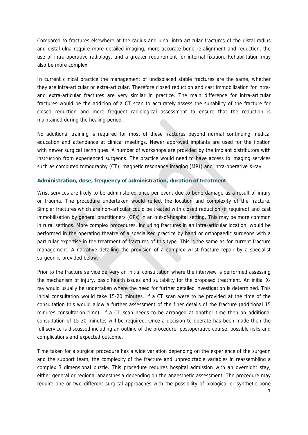Compared to fractures elsewhere at the radius and ulna, intra-articular fractures of the distal radius and distal ulna require more detailed imaging, more accurate bone re-alignment and reduction, the use of intra-operative radiology, and a greater requirement for internal fixation. Rehabilitation may also be more complex.

In current clinical practice the management of undisplaced stable fractures are the same, whether they are intra-articular or extra-articular. Therefore closed reduction and cast immobilization for intraand extra-articular fractures are very similar in practice. The main difference for intra-articular fractures would be the addition of a CT scan to accurately assess the suitability of the fracture for closed reduction and more frequent radiological assessment to ensure that the reduction is maintained during the healing period.

No additional training is required for most of these fractures beyond normal continuing medical education and attendance at clinical meetings. Newer approved implants are used for the fixation with newer surgical techniques. A number of workshops are provided by the implant distributors with instruction from experienced surgeons. The practice would need to have access to imaging services such as computed tomography (CT), magnetic resonance imaging (MRI) and intra-operative X-ray.

#### **Administration, dose, frequency of administration, duration of treatment**

Wrist services are likely to be administered once per event due to bone damage as a result of injury or trauma. The procedure undertaken would reflect the location and complexity of the fracture. Simpler fractures which are non-articular could be treated with closed reduction (if required) and cast immobilisation by general practitioners (GPs) in an out-of-hospital setting. This may be more common in rural settings. More complex procedures, including fractures in an intra-articular location, would be performed in the operating theatre of a specialised practice by hand or orthopaedic surgeons with a particular expertise in the treatment of fractures of this type. This is the same as for current fracture management. A narrative detailing the provision of a complex wrist fracture repair by a specialist surgeon is provided below.

Prior to the fracture service delivery an initial consultation where the interview is performed assessing the mechanism of injury, basic health issues and suitability for the proposed treatment. An initial Xray would usually be undertaken where the need for further detailed investigation is determined. This initial consultation would take 15-20 minutes. If a CT scan were to be provided at the time of the consultation this would allow a further assessment of the finer details of the fracture (additional 15 minutes consultation time). If a CT scan needs to be arranged at another time then an additional consultation of 15-20 minutes will be required. Once a decision to operate has been made then the full service is discussed including an outline of the procedure, postoperative course, possible risks and complications and expected outcome.

Time taken for a surgical procedure has a wide variation depending on the experience of the surgeon and the support team, the complexity of the fracture and unpredictable variables in reassembling a complex 3 dimensional puzzle. This procedure requires hospital admission with an overnight stay, either general or regional anaesthesia depending on the anaesthetic assessment. The procedure may require one or two different surgical approaches with the possibility of biological or synthetic bone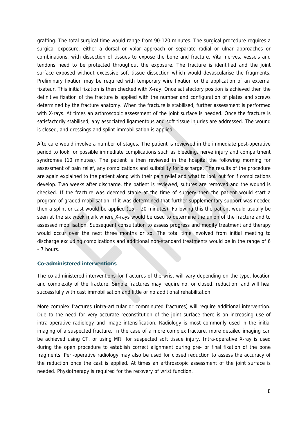grafting. The total surgical time would range from 90-120 minutes. The surgical procedure requires a surgical exposure, either a dorsal or volar approach or separate radial or ulnar approaches or combinations, with dissection of tissues to expose the bone and fracture. Vital nerves, vessels and tendons need to be protected throughout the exposure. The fracture is identified and the joint surface exposed without excessive soft tissue dissection which would devascularise the fragments. Preliminary fixation may be required with temporary wire fixation or the application of an external fixateur. This initial fixation is then checked with X-ray. Once satisfactory position is achieved then the definitive fixation of the fracture is applied with the number and configuration of plates and screws determined by the fracture anatomy. When the fracture is stabilised, further assessment is performed with X-rays. At times an arthroscopic assessment of the joint surface is needed. Once the fracture is satisfactorily stabilised, any associated ligamentous and soft tissue injuries are addressed. The wound is closed, and dressings and splint immobilisation is applied.

Aftercare would involve a number of stages. The patient is reviewed in the immediate post-operative period to look for possible immediate complications such as bleeding, nerve injury and compartment syndromes (10 minutes). The patient is then reviewed in the hospital the following morning for assessment of pain relief, any complications and suitability for discharge. The results of the procedure are again explained to the patient along with their pain relief and what to look out for if complications develop. Two weeks after discharge, the patient is reviewed, sutures are removed and the wound is checked. If the fracture was deemed stable at the time of surgery then the patient would start a program of graded mobilisation. If it was determined that further supplementary support was needed then a splint or cast would be applied (15 – 20 minutes). Following this the patient would usually be seen at the six week mark where X-rays would be used to determine the union of the fracture and to assessed mobilisation. Subsequent consultation to assess progress and modify treatment and therapy would occur over the next three months or so. The total time involved from initial meeting to discharge excluding complications and additional non-standard treatments would be in the range of 6 - 7 hours.

#### **Co-administered interventions**

The co-administered interventions for fractures of the wrist will vary depending on the type, location and complexity of the fracture. Simple fractures may require no, or closed, reduction, and will heal successfully with cast immobilisation and little or no additional rehabilitation.

More complex fractures (intra-articular or comminuted fractures) will require additional intervention. Due to the need for very accurate reconstitution of the joint surface there is an increasing use of intra-operative radiology and image intensification. Radiology is most commonly used in the initial imaging of a suspected fracture. In the case of a more complex fracture, more detailed imaging can be achieved using CT, or using MRI for suspected soft tissue injury. Intra-operative X-ray is used during the open procedure to establish correct alignment during pre- or final fixation of the bone fragments. Peri-operative radiology may also be used for closed reduction to assess the accuracy of the reduction once the cast is applied. At times an arthroscopic assessment of the joint surface is needed. Physiotherapy is required for the recovery of wrist function.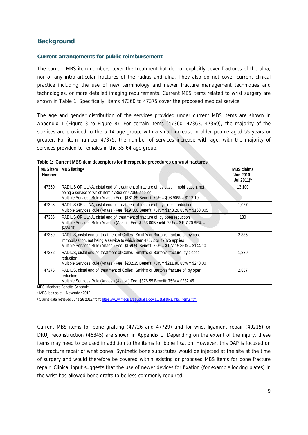### **Background**

#### **Current arrangements for public reimbursement**

The current MBS item numbers cover the treatment but do not explicitly cover fractures of the ulna, nor of any intra-articular fractures of the radius and ulna. They also do not cover current clinical practice including the use of new terminology and newer fracture management techniques and technologies, or more detailed imaging requirements. Current MBS items related to wrist surgery are shown in Table 1. Specifically, items 47360 to 47375 cover the proposed medical service.

The age and gender distribution of the services provided under current MBS items are shown in Appendix 1 (Figure 3 to Figure 8). For certain items (47360, 47363, 47369), the majority of the services are provided to the 5-14 age group, with a small increase in older people aged 55 years or greater. For item number 47375, the number of services increase with age, with the majority of services provided to females in the 55-64 age group.

| MBS item<br><b>Number</b> | MBS listing <sup>a</sup>                                                                                                                                                                                                                                  | <b>MBS claims</b><br>(Jun 2010 -<br>Jul 2011) <sup>b</sup> |
|---------------------------|-----------------------------------------------------------------------------------------------------------------------------------------------------------------------------------------------------------------------------------------------------------|------------------------------------------------------------|
| 47360                     | RADIUS OR ULNA, distal end of, treatment of fracture of, by cast immobilisation, not<br>being a service to which item 47363 or 47366 applies<br>Multiple Services Rule (Anaes.) Fee: \$131.85 Benefit: 75% = \$98.90% = \$112.10                          | 13,100                                                     |
| 47363                     | RADIUS OR ULNA, distal end of, treatment of fracture of, by closed reduction<br>Multiple Services Rule (Anaes.) Fee: \$197.60 Benefit: 75% = \$148.20 85% = \$168.005                                                                                     | 1,027                                                      |
| 47366                     | RADIUS OR ULNA, distal end of, treatment of fracture of, by open reduction<br>Multiple Services Rule (Anaes.) (Assist.) Fee: \$263.00Benefit: 75% = \$197.70 85% =<br>\$224.10                                                                            | 180                                                        |
| 47369                     | RADIUS, distal end of, treatment of Colles', Smith's or Barton's fracture of, by cast<br>immobilisation, not being a service to which item 47372 or 47375 applies<br>Multiple Services Rule (Anaes.) Fee: \$169.50 Benefit: 75% = \$127.15 85% = \$144.10 | 2,335                                                      |
| 47372                     | RADIUS, distal end of, treatment of Colles', Smith's or Barton's fracture, by closed<br>reduction<br>Multiple Services Rule (Anaes.) Fee: \$282.35 Benefit: 75% = \$211.80 85% = \$240.00                                                                 | 1.339                                                      |
| 47375                     | RADIUS, distal end of, treatment of Colles', Smith's or Barton's fracture of, by open<br>reduction<br>Multiple Services Rule (Anaes.) (Assist.) Fee: \$376.55 Benefit: 75% = \$282.45                                                                     | 2,857                                                      |

**Table 1: Current MBS item descriptors for therapeutic procedures on wrist fractures** 

MBS: Medicare Benefits Schedule

a MBS fees as of 1 November 2012

**b Claims data retrieved June 26 2012 from: https://www.medicareaustralia.gov.au/statistics/mbs\_item.shtml** 

Current MBS items for bone grafting (47726 and 47729) and for wrist ligament repair (49215) or DRUJ reconstruction (46345) are shown in Appendix 1. Depending on the extent of the injury, these items may need to be used in addition to the items for bone fixation. However, this DAP is focused on the fracture repair of wrist bones. Synthetic bone substitutes would be injected at the site at the time of surgery and would therefore be covered within existing or proposed MBS items for bone fracture repair. Clinical input suggests that the use of newer devices for fixation (for example locking plates) in the wrist has allowed bone grafts to be less commonly required.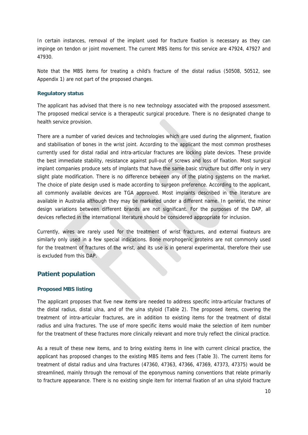In certain instances, removal of the implant used for fracture fixation is necessary as they can impinge on tendon or joint movement. The current MBS items for this service are 47924, 47927 and 47930.

Note that the MBS items for treating a child's fracture of the distal radius (50508, 50512, see Appendix 1) are not part of the proposed changes.

#### **Regulatory status**

The applicant has advised that there is no new technology associated with the proposed assessment. The proposed medical service is a therapeutic surgical procedure. There is no designated change to health service provision.

There are a number of varied devices and technologies which are used during the alignment, fixation and stabilisation of bones in the wrist joint. According to the applicant the most common prostheses currently used for distal radial and intra-articular fractures are locking plate devices. These provide the best immediate stability, resistance against pull-out of screws and loss of fixation. Most surgical implant companies produce sets of implants that have the same basic structure but differ only in very slight plate modification. There is no difference between any of the plating systems on the market. The choice of plate design used is made according to surgeon preference. According to the applicant, all commonly available devices are TGA approved. Most implants described in the literature are available in Australia although they may be marketed under a different name. In general, the minor design variations between different brands are not significant. For the purposes of the DAP, all devices reflected in the international literature should be considered appropriate for inclusion.

Currently, wires are rarely used for the treatment of wrist fractures, and external fixateurs are similarly only used in a few special indications. Bone morphogenic proteins are not commonly used for the treatment of fractures of the wrist, and its use is in general experimental, therefore their use is excluded from this DAP.

### **Patient population**

### **Proposed MBS listing**

The applicant proposes that five new items are needed to address specific intra-articular fractures of the distal radius, distal ulna, and of the ulna styloid (Table 2). The proposed items, covering the treatment of intra-articular fractures, are in addition to existing items for the treatment of distal radius and ulna fractures. The use of more specific items would make the selection of item number for the treatment of these fractures more clinically relevant and more truly reflect the clinical practice.

As a result of these new items, and to bring existing items in line with current clinical practice, the applicant has proposed changes to the existing MBS items and fees (Table 3). The current items for treatment of distal radius and ulna fractures (47360, 47363, 47366, 47369, 47373, 47375) would be streamlined, mainly through the removal of the eponymous naming conventions that relate primarily to fracture appearance. There is no existing single item for internal fixation of an ulna styloid fracture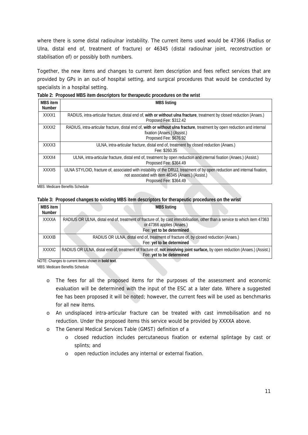where there is some distal radioulnar instability. The current items used would be 47366 (Radius or Ulna, distal end of, treatment of fracture) or 46345 (distal radioulnar joint, reconstruction or stabilisation of) or possibly both numbers.

Together, the new items and changes to current item description and fees reflect services that are provided by GPs in an out-of hospital setting, and surgical procedures that would be conducted by specialists in a hospital setting.

| MBS item<br><b>Number</b> | <b>MBS listing</b>                                                                                                                                                                                       |
|---------------------------|----------------------------------------------------------------------------------------------------------------------------------------------------------------------------------------------------------|
| XXXX1                     | RADIUS, intra-articular fracture, distal end of, with or without ulna fracture, treatment by closed reduction (Anaes.)<br>Proposed Fee: \$312.42                                                         |
| XXXX <sub>2</sub>         | RADIUS, intra-articular fracture, distal end of, with or without ulna fracture, treatment by open reduction and internal<br>fixation (Anaes.) (Assist.)<br>Proposed Fee: \$676.92                        |
| XXXX3                     | ULNA, intra-articular fracture, distal end of, treatment by closed reduction (Anaes.)<br>Fee: \$260.35                                                                                                   |
| XXXX4                     | ULNA, intra-articular fracture, distal end of, treatment by open reduction and internal fixation (Anaes.) (Assist.)<br>Proposed Fee: \$364.49                                                            |
| XXXX5                     | ULNA STYLOID, fracture of, associated with instability of the DRUJ, treatment of by open reduction and internal fixation,<br>not associated with item 46345 (Anaes.) (Assist.)<br>Proposed Fee: \$364.49 |

**Table 2: Proposed MBS item descriptors for therapeutic procedures on the wrist** 

MBS: Medicare Benefits Schedule

**Table 3: Proposed changes to existing MBS item descriptors for therapeutic procedures on the wrist** 

| MBS item<br><b>Number</b> | <b>MBS listing</b>                                                                                                                                                                  |
|---------------------------|-------------------------------------------------------------------------------------------------------------------------------------------------------------------------------------|
| XXXXA                     | RADIUS OR ULNA, distal end of, treatment of fracture of, by cast immobilisation, other than a service to which item 47363<br>or 47366 applies (Anaes.)<br>Fee: yet to be determined |
| <b>XXXXB</b>              | RADIUS OR ULNA, distal end of, treatment of fracture of, by closed reduction (Anaes.)<br>Fee: yet to be determined                                                                  |
| XXXXC                     | RADIUS OR ULNA, distal end of, treatment of fracture of, not involving joint surface, by open reduction (Anaes.) (Assist.)<br>Fee: yet to be determined                             |

NOTE: Changes to current items shown in **bold text**. MBS: Medicare Benefits Schedule

- o The fees for all the proposed items for the purposes of the assessment and economic evaluation will be determined with the input of the ESC at a later date. Where a suggested fee has been proposed it will be noted; however, the current fees will be used as benchmarks for all new items.
- o An undisplaced intra-articular fracture can be treated with cast immobilisation and no reduction. Under the proposed items this service would be provided by XXXXA above.
- o The General Medical Services Table (GMST) definition of a
	- o closed reduction includes percutaneous fixation or external splintage by cast or splints; and
	- o open reduction includes any internal or external fixation.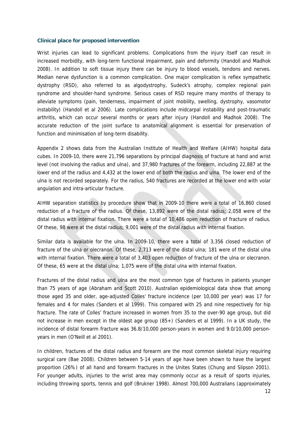#### **Clinical place for proposed intervention**

Wrist injuries can lead to significant problems. Complications from the injury itself can result in increased morbidity, with long-term functional impairment, pain and deformity (Handoll and Madhok 2008). In addition to soft tissue injury there can be injury to blood vessels, tendons and nerves. Median nerve dysfunction is a common complication. One major complication is reflex sympathetic dystrophy (RSD), also referred to as algodystrophy, Sudeck's atrophy, complex regional pain syndrome and shoulder-hand syndrome. Serious cases of RSD require many months of therapy to alleviate symptoms (pain, tenderness, impairment of joint mobility, swelling, dystrophy, vasomotor instability) (Handoll et al 2006). Late complications include midcarpal instability and post-traumatic arthritis, which can occur several months or years after injury (Handoll and Madhok 2008). The accurate reduction of the joint surface to anatomical alignment is essential for preservation of function and minimisation of long-term disability.

Appendix 2 shows data from the Australian Institute of Health and Welfare (AIHW) hospital data cubes. In 2009-10, there were 21,796 separations by principal diagnosis of fracture at hand and wrist level (not involving the radius and ulna), and 37,980 fractures of the forearm, including 22,887 at the lower end of the radius and 4,432 at the lower end of both the radius and ulna. The lower end of the ulna is not recorded separately. For the radius, 540 fractures are recorded at the lower end with volar angulation and intra-articular fracture.

AIHW separation statistics by procedure show that in 2009-10 there were a total of 16,860 closed reduction of a fracture of the radius. Of these, 13,892 were of the distal radius; 2,058 were of the distal radius with internal fixation. There were a total of 10,486 open reduction of fracture of radius. Of these, 98 were at the distal radius; 9,001 were of the distal radius with internal fixation.

Similar data is available for the ulna. In 2009-10, there were a total of 3,356 closed reduction of fracture of the ulna or olecranon. Of these, 2,713 were of the distal ulna; 181 were of the distal ulna with internal fixation. There were a total of 3,403 open reduction of fracture of the ulna or olecranon. Of these, 65 were at the distal ulna; 1,075 were of the distal ulna with internal fixation.

Fractures of the distal radius and ulna are the most common type of fractures in patients younger than 75 years of age (Abraham and Scott 2010). Australian epidemiological data show that among those aged 35 and older, age-adjusted Colles' fracture incidence (per 10,000 per year) was 17 for females and 4 for males (Sanders et al 1999). This compared with 25 and nine respectively for hip fracture. The rate of Colles' fracture increased in women from 35 to the over-90 age group, but did not increase in men except in the oldest age group (85+) (Sanders et al 1999). In a UK study, the incidence of distal forearm fracture was 36.8/10,000 person-years in women and 9.0/10,000 personyears in men (O'Neill et al 2001).

In children, fractures of the distal radius and forearm are the most common skeletal injury requiring surgical care (Bae 2008). Children between 5-14 years of age have been shown to have the largest proportion (26%) of all hand and forearm fractures in the Unites States (Chung and Slipson 2001). For younger adults, injuries to the wrist area may commonly occur as a result of sports injuries, including throwing sports, tennis and golf (Brukner 1998). Almost 700,000 Australians (approximately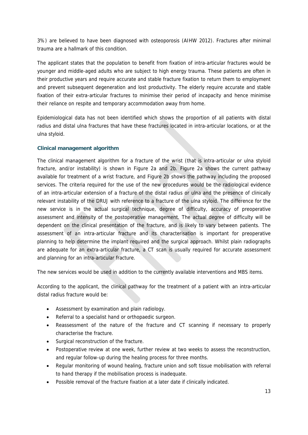3%) are believed to have been diagnosed with osteoporosis (AIHW 2012). Fractures after minimal trauma are a hallmark of this condition.

The applicant states that the population to benefit from fixation of intra-articular fractures would be younger and middle-aged adults who are subject to high energy trauma. These patients are often in their productive years and require accurate and stable fracture fixation to return them to employment and prevent subsequent degeneration and lost productivity. The elderly require accurate and stable fixation of their extra-articular fractures to minimise their period of incapacity and hence minimise their reliance on respite and temporary accommodation away from home.

Epidemiological data has not been identified which shows the proportion of all patients with distal radius and distal ulna fractures that have these fractures located in intra-articular locations, or at the ulna styloid.

### **Clinical management algorithm**

The clinical management algorithm for a fracture of the wrist (that is intra-articular or ulna styloid fracture, and/or instability) is shown in Figure 2a and 2b. Figure 2a shows the current pathway available for treatment of a wrist fracture, and Figure 2b shows the pathway including the proposed services. The criteria required for the use of the new procedures would be the radiological evidence of an intra-articular extension of a fracture of the distal radius or ulna and the presence of clinically relevant instability of the DRUJ with reference to a fracture of the ulna styloid. The difference for the new service is in the actual surgical technique, degree of difficulty, accuracy of preoperative assessment and intensity of the postoperative management. The actual degree of difficulty will be dependent on the clinical presentation of the fracture, and is likely to vary between patients. The assessment of an intra-articular fracture and its characterisation is important for preoperative planning to help determine the implant required and the surgical approach. Whilst plain radiographs are adequate for an extra-articular fracture, a CT scan is usually required for accurate assessment and planning for an intra-articular fracture.

The new services would be used in addition to the currently available interventions and MBS items.

According to the applicant, the clinical pathway for the treatment of a patient with an intra-articular distal radius fracture would be:

- Assessment by examination and plain radiology.
- Referral to a specialist hand or orthopaedic surgeon.
- Reassessment of the nature of the fracture and CT scanning if necessary to properly characterise the fracture.
- Surgical reconstruction of the fracture.
- Postoperative review at one week, further review at two weeks to assess the reconstruction, and regular follow-up during the healing process for three months.
- Regular monitoring of wound healing, fracture union and soft tissue mobilisation with referral to hand therapy if the mobilisation process is inadequate.
- Possible removal of the fracture fixation at a later date if clinically indicated.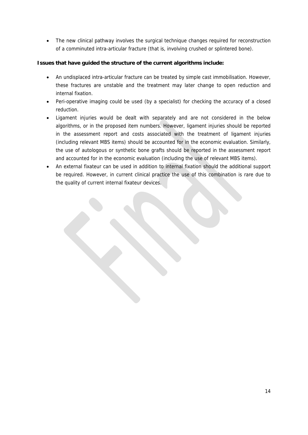• The new clinical pathway involves the surgical technique changes required for reconstruction of a comminuted intra-articular fracture (that is, involving crushed or splintered bone).

### **Issues that have guided the structure of the current algorithms include:**

- An undisplaced intra-articular fracture can be treated by simple cast immobilisation. However, these fractures are unstable and the treatment may later change to open reduction and internal fixation.
- Peri-operative imaging could be used (by a specialist) for checking the accuracy of a closed reduction.
- Ligament injuries would be dealt with separately and are not considered in the below algorithms, or in the proposed item numbers. However, ligament injuries should be reported in the assessment report and costs associated with the treatment of ligament injuries (including relevant MBS items) should be accounted for in the economic evaluation. Similarly, the use of autologous or synthetic bone grafts should be reported in the assessment report and accounted for in the economic evaluation (including the use of relevant MBS items).
- An external fixateur can be used in addition to internal fixation should the additional support be required. However, in current clinical practice the use of this combination is rare due to the quality of current internal fixateur devices.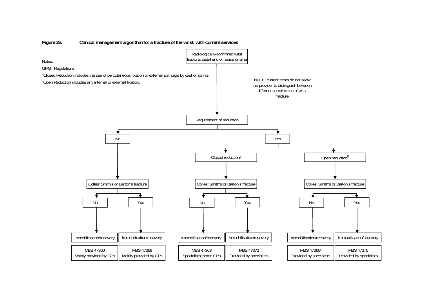

#### **Figure 2a: Clinical management algorithm for a fracture of the wrist, with current services**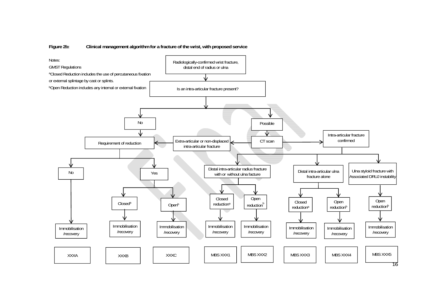

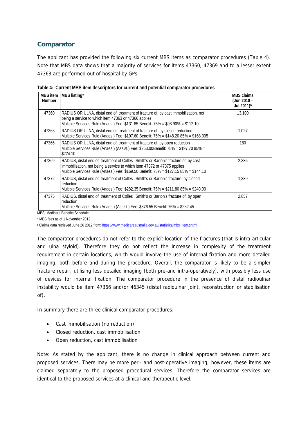### **Comparator**

The applicant has provided the following six current MBS items as comparator procedures (Table 4). Note that MBS data shows that a majority of services for items 47360, 47369 and to a lesser extent 47363 are performed out of hospital by GPs.

| MBS item<br><b>Number</b> | MBS listing <sup>a</sup>                                                                                                                                                                                                                                  | <b>MBS claims</b><br>(Jun 2010 -<br>Jul 2011) <sup>b</sup> |
|---------------------------|-----------------------------------------------------------------------------------------------------------------------------------------------------------------------------------------------------------------------------------------------------------|------------------------------------------------------------|
| 47360                     | RADIUS OR ULNA, distal end of, treatment of fracture of, by cast immobilisation, not<br>being a service to which item 47363 or 47366 applies<br>Multiple Services Rule (Anaes.) Fee: \$131.85 Benefit: 75% = \$98.90% = \$112.10                          | 13,100                                                     |
| 47363                     | RADIUS OR ULNA, distal end of, treatment of fracture of, by closed reduction<br>Multiple Services Rule (Anaes.) Fee: \$197.60 Benefit: 75% = \$148.20 85% = \$168.005                                                                                     | 1.027                                                      |
| 47366                     | RADIUS OR ULNA, distal end of, treatment of fracture of, by open reduction<br>Multiple Services Rule (Anaes.) (Assist.) Fee: \$263.00Benefit: 75% = \$197.70 85% =<br>\$224.10                                                                            | 180                                                        |
| 47369                     | RADIUS, distal end of, treatment of Colles', Smith's or Barton's fracture of, by cast<br>immobilisation, not being a service to which item 47372 or 47375 applies<br>Multiple Services Rule (Anaes.) Fee: \$169.50 Benefit: 75% = \$127.15 85% = \$144.10 | 2.335                                                      |
| 47372                     | RADIUS, distal end of, treatment of Colles', Smith's or Barton's fracture, by closed<br>reduction<br>Multiple Services Rule (Anaes.) Fee: \$282.35 Benefit: 75% = \$211.80 85% = \$240.00                                                                 | 1.339                                                      |
| 47375                     | RADIUS, distal end of, treatment of Colles', Smith's or Barton's fracture of, by open<br>reduction<br>Multiple Services Rule (Anaes.) (Assist.) Fee: \$376.55 Benefit: 75% = \$282.45                                                                     | 2,857                                                      |

| Table 4: Current MBS item descriptors for current and potential comparator procedures |  |  |  |
|---------------------------------------------------------------------------------------|--|--|--|
|                                                                                       |  |  |  |

MBS: Medicare Benefits Schedule

a MBS fees as of 1 November 2012

b Claims data retrieved June 26 2012 from: https://www.medicareaustralia.gov.au/statistics/mbs\_item.shtml

The comparator procedures do not refer to the explicit location of the fractures (that is intra-articular and ulna styloid). Therefore they do not reflect the increase in complexity of the treatment requirement in certain locations, which would involve the use of internal fixation and more detailed imaging, both before and during the procedure. Overall, the comparator is likely to be a simpler fracture repair, utilising less detailed imaging (both pre-and intra-operatively), with possibly less use of devices for internal fixation. The comparator procedure in the presence of distal radioulnar instability would be item 47366 and/or 46345 (distal radioulnar joint, reconstruction or stabilisation of).

In summary there are three clinical comparator procedures:

- Cast immobilisation (no reduction)
- Closed reduction, cast immobilisation
- Open reduction, cast immobilisation

Note: As stated by the applicant, there is no change in clinical approach between current and proposed services. There may be more peri- and post-operative imaging; however, these items are claimed separately to the proposed procedural services. Therefore the comparator services are identical to the proposed services at a clinical and therapeutic level.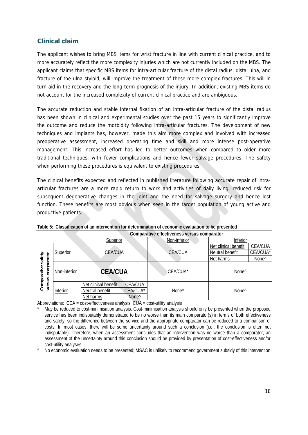### **Clinical claim**

The applicant wishes to bring MBS items for wrist fracture in line with current clinical practice, and to more accurately reflect the more complexity injuries which are not currently included on the MBS. The applicant claims that specific MBS items for intra-articular fracture of the distal radius, distal ulna, and fracture of the ulna styloid, will improve the treatment of these more complex fractures. This will in turn aid in the recovery and the long-term prognosis of the injury. In addition, existing MBS items do not account for the increased complexity of current clinical practice and are ambiguous.

The accurate reduction and stable internal fixation of an intra-articular fracture of the distal radius has been shown in clinical and experimental studies over the past 15 years to significantly improve the outcome and reduce the morbidity following intra-articular fractures. The development of new techniques and implants has, however, made this aim more complex and involved with increased preoperative assessment, increased operating time and skill and more intense post-operative management. This increased effort has led to better outcomes when compared to older more traditional techniques, with fewer complications and hence fewer salvage procedures. The safety when performing these procedures is equivalent to existing procedures.

The clinical benefits expected and reflected in published literature following accurate repair of intraarticular fractures are a more rapid return to work and activities of daily living, reduced risk for subsequent degenerative changes in the joint and the need for salvage surgery and hence lost function. These benefits are most obvious when seen in the target population of young active and productive patients.

|                                            |              |                      |                   | Comparative effectiveness versus comparator |                      |                   |
|--------------------------------------------|--------------|----------------------|-------------------|---------------------------------------------|----------------------|-------------------|
|                                            |              | Superior             |                   | Non-inferior                                | Inferior             |                   |
|                                            |              |                      |                   |                                             | Net clinical benefit | <b>CEA/CUA</b>    |
|                                            | Superior     | <b>CEA/CUA</b>       |                   | <b>CEA/CUA</b>                              | Neutral benefit      | CEA/CUA*          |
| safety                                     |              |                      |                   |                                             | Net harms            | None <sup>^</sup> |
| comparator<br>Comparative:<br>versus compa | Non-inferior | <b>CEA/CUA</b>       |                   | CEA/CUA*                                    | None <sup>^</sup>    |                   |
|                                            |              | Net clinical benefit | <b>CEA/CUA</b>    |                                             |                      |                   |
|                                            | Inferior     | Neutral benefit      | CEA/CUA*          | None <sup>^</sup>                           | None <sup>^</sup>    |                   |
|                                            |              | Net harms            | None <sup>^</sup> |                                             |                      |                   |

**Table 5: Classification of an intervention for determination of economic evaluation to be presented** 

Abbreviations:  $CEA = cost\text{-effective}$  analysis:  $CUA = cost\text{-utility}$  analysis

^ No economic evaluation needs to be presented; MSAC is unlikely to recommend government subsidy of this intervention

May be reduced to cost-minimisation analysis. Cost-minimisation analysis should only be presented when the proposed service has been indisputably demonstrated to be no worse than its main comparator(s) in terms of both effectiveness and safety, so the difference between the service and the appropriate comparator can be reduced to a comparison of costs. In most cases, there will be some uncertainty around such a conclusion (i.e., the conclusion is often not indisputable). Therefore, when an assessment concludes that an intervention was no worse than a comparator, an assessment of the uncertainty around this conclusion should be provided by presentation of cost-effectiveness and/or cost-utility analyses.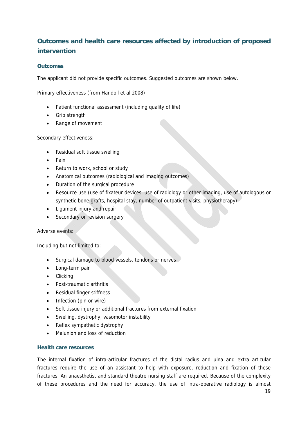# **Outcomes and health care resources affected by introduction of proposed intervention**

### **Outcomes**

The applicant did not provide specific outcomes. Suggested outcomes are shown below.

Primary effectiveness (from Handoll et al 2008):

- Patient functional assessment (including quality of life)
- Grip strength
- Range of movement

Secondary effectiveness:

- Residual soft tissue swelling
- Pain
- Return to work, school or study
- Anatomical outcomes (radiological and imaging outcomes)
- Duration of the surgical procedure
- Resource use (use of fixateur devices, use of radiology or other imaging, use of autologous or synthetic bone grafts, hospital stay, number of outpatient visits, physiotherapy)
- Ligament injury and repair
- Secondary or revision surgery

Adverse events:

Including but not limited to:

- **Surgical damage to blood vessels, tendons or nerves**
- Long-term pain
- Clicking
- Post-traumatic arthritis
- Residual finger stiffness
- Infection (pin or wire)
- Soft tissue injury or additional fractures from external fixation
- Swelling, dystrophy, vasomotor instability
- Reflex sympathetic dystrophy
- Malunion and loss of reduction

### **Health care resources**

The internal fixation of intra-articular fractures of the distal radius and ulna and extra articular fractures require the use of an assistant to help with exposure, reduction and fixation of these fractures. An anaesthetist and standard theatre nursing staff are required. Because of the complexity of these procedures and the need for accuracy, the use of intra-operative radiology is almost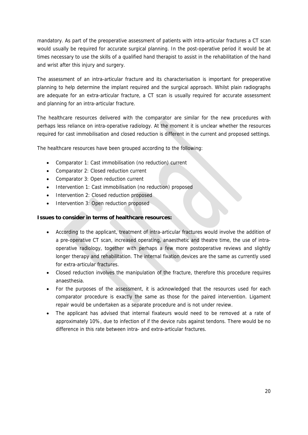mandatory. As part of the preoperative assessment of patients with intra-articular fractures a CT scan would usually be required for accurate surgical planning. In the post-operative period it would be at times necessary to use the skills of a qualified hand therapist to assist in the rehabilitation of the hand and wrist after this injury and surgery.

The assessment of an intra-articular fracture and its characterisation is important for preoperative planning to help determine the implant required and the surgical approach. Whilst plain radiographs are adequate for an extra-articular fracture, a CT scan is usually required for accurate assessment and planning for an intra-articular fracture.

The healthcare resources delivered with the comparator are similar for the new procedures with perhaps less reliance on intra-operative radiology. At the moment it is unclear whether the resources required for cast immobilisation and closed reduction is different in the current and proposed settings.

The healthcare resources have been grouped according to the following:

- Comparator 1: Cast immobilisation (no reduction) current
- Comparator 2: Closed reduction current
- Comparator 3: Open reduction current
- Intervention 1: Cast immobilisation (no reduction) proposed
- Intervention 2: Closed reduction proposed
- Intervention 3: Open reduction proposed

### **Issues to consider in terms of healthcare resources:**

- According to the applicant, treatment of intra-articular fractures would involve the addition of a pre-operative CT scan, increased operating, anaesthetic and theatre time, the use of intraoperative radiology, together with perhaps a few more postoperative reviews and slightly longer therapy and rehabilitation. The internal fixation devices are the same as currently used for extra-articular fractures.
- Closed reduction involves the manipulation of the fracture, therefore this procedure requires anaesthesia.
- For the purposes of the assessment, it is acknowledged that the resources used for each comparator procedure is exactly the same as those for the paired intervention. Ligament repair would be undertaken as a separate procedure and is not under review.
- The applicant has advised that internal fixateurs would need to be removed at a rate of approximately 10%, due to infection of if the device rubs against tendons. There would be no difference in this rate between intra- and extra-articular fractures.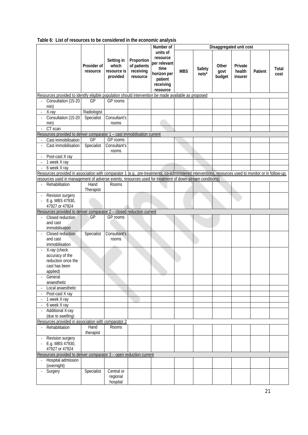|                          |                                                                                                                                                      |                         |                                                |                                                    | Number of                                                                                       |            |                 |                         | Disaggregated unit cost      |         |                      |
|--------------------------|------------------------------------------------------------------------------------------------------------------------------------------------------|-------------------------|------------------------------------------------|----------------------------------------------------|-------------------------------------------------------------------------------------------------|------------|-----------------|-------------------------|------------------------------|---------|----------------------|
|                          |                                                                                                                                                      | Provider of<br>resource | Setting in<br>which<br>resource is<br>provided | Proportion<br>of patients<br>receiving<br>resource | units of<br>resource<br>per relevant<br>time<br>horizon per<br>patient<br>receiving<br>resource | <b>MBS</b> | Safety<br>nets* | Other<br>govt<br>budget | Private<br>health<br>insurer | Patient | <b>Total</b><br>cost |
|                          | Resources provided to identify eligible population should intervention be made available as proposed                                                 |                         |                                                |                                                    |                                                                                                 |            |                 |                         |                              |         |                      |
|                          | Consultation (15-20                                                                                                                                  | GP                      | GP rooms                                       |                                                    |                                                                                                 |            |                 |                         |                              |         |                      |
|                          | min)                                                                                                                                                 |                         |                                                |                                                    |                                                                                                 |            |                 |                         |                              |         |                      |
|                          | X-ray                                                                                                                                                | Radiologist             |                                                |                                                    |                                                                                                 |            |                 |                         |                              |         |                      |
|                          | Consultation (15-20                                                                                                                                  | Specialist              | Consultant's                                   |                                                    |                                                                                                 |            |                 |                         |                              |         |                      |
|                          | min)                                                                                                                                                 |                         | rooms                                          |                                                    |                                                                                                 |            |                 |                         |                              |         |                      |
|                          | CT scan                                                                                                                                              |                         |                                                |                                                    |                                                                                                 |            |                 |                         |                              |         |                      |
|                          | Resources provided to deliver comparator 1 - cast immobilisation current                                                                             |                         |                                                |                                                    |                                                                                                 |            |                 |                         |                              |         |                      |
|                          | Cast immobilisation                                                                                                                                  | GP                      | GP rooms                                       |                                                    |                                                                                                 |            |                 |                         |                              |         |                      |
|                          | Cast immobilisation                                                                                                                                  | Specialist              | Consultant's                                   |                                                    |                                                                                                 |            |                 |                         |                              |         |                      |
|                          |                                                                                                                                                      |                         | rooms                                          |                                                    |                                                                                                 |            |                 |                         |                              |         |                      |
|                          | Post-cast X ray                                                                                                                                      |                         |                                                |                                                    |                                                                                                 |            |                 |                         |                              |         |                      |
|                          | 1 week X ray                                                                                                                                         |                         |                                                |                                                    |                                                                                                 |            |                 |                         |                              |         |                      |
| $\blacksquare$           | 6 week X ray                                                                                                                                         |                         |                                                |                                                    |                                                                                                 |            |                 |                         |                              |         |                      |
|                          | Resources provided in association with comparator 1 (e.g., pre-treatments, co-administered interventions, resources used to monitor or in follow-up, |                         |                                                |                                                    |                                                                                                 |            |                 |                         |                              |         |                      |
|                          | resources used in management of adverse events, resources used for treatment of down-stream conditions)                                              |                         |                                                |                                                    |                                                                                                 |            |                 |                         |                              |         |                      |
|                          | Rehabilitation                                                                                                                                       | Hand                    | Rooms                                          |                                                    |                                                                                                 |            |                 |                         |                              |         |                      |
|                          |                                                                                                                                                      | Therapist               |                                                |                                                    |                                                                                                 |            |                 |                         |                              |         |                      |
|                          | Revision surgery                                                                                                                                     |                         |                                                |                                                    |                                                                                                 |            |                 |                         |                              |         |                      |
|                          | E.g. MBS 47930,                                                                                                                                      |                         |                                                |                                                    |                                                                                                 |            |                 |                         |                              |         |                      |
|                          | 47927 or 47924                                                                                                                                       |                         |                                                |                                                    |                                                                                                 |            |                 |                         |                              |         |                      |
|                          | Resources provided to deliver comparator 2 - closed reduction current                                                                                |                         |                                                |                                                    |                                                                                                 |            |                 |                         |                              |         |                      |
|                          | Closed reduction                                                                                                                                     | GP                      | GP rooms                                       |                                                    |                                                                                                 |            |                 |                         |                              |         |                      |
|                          | and cast                                                                                                                                             |                         |                                                |                                                    |                                                                                                 |            |                 |                         |                              |         |                      |
|                          | immobilisation                                                                                                                                       |                         |                                                |                                                    |                                                                                                 |            |                 |                         |                              |         |                      |
|                          | Closed reduction                                                                                                                                     | Specialist              | Consultant's                                   |                                                    |                                                                                                 |            |                 |                         |                              |         |                      |
|                          | and cast                                                                                                                                             |                         | rooms                                          |                                                    |                                                                                                 |            |                 |                         |                              |         |                      |
|                          | immobilisation                                                                                                                                       |                         |                                                |                                                    |                                                                                                 |            |                 |                         |                              |         |                      |
|                          | X-ray (check                                                                                                                                         |                         |                                                |                                                    |                                                                                                 |            |                 |                         |                              |         |                      |
|                          | accuracy of the                                                                                                                                      |                         |                                                |                                                    |                                                                                                 |            |                 |                         |                              |         |                      |
|                          | reduction once the                                                                                                                                   |                         |                                                |                                                    |                                                                                                 |            |                 |                         |                              |         |                      |
|                          | cast has been                                                                                                                                        |                         |                                                |                                                    |                                                                                                 |            |                 |                         |                              |         |                      |
|                          | applied)                                                                                                                                             |                         |                                                |                                                    |                                                                                                 |            |                 |                         |                              |         |                      |
|                          | General                                                                                                                                              |                         |                                                |                                                    |                                                                                                 |            |                 |                         |                              |         |                      |
|                          | anaesthetic                                                                                                                                          |                         |                                                |                                                    |                                                                                                 |            |                 |                         |                              |         |                      |
|                          | Local anaesthetic                                                                                                                                    |                         |                                                |                                                    |                                                                                                 |            |                 |                         |                              |         |                      |
|                          | Post-cast X ray                                                                                                                                      |                         |                                                |                                                    |                                                                                                 |            |                 |                         |                              |         |                      |
|                          | 1 week X ray                                                                                                                                         |                         |                                                |                                                    |                                                                                                 |            |                 |                         |                              |         |                      |
|                          | 6 week X ray                                                                                                                                         |                         |                                                |                                                    |                                                                                                 |            |                 |                         |                              |         |                      |
|                          | <b>Additional X-ray</b>                                                                                                                              |                         |                                                |                                                    |                                                                                                 |            |                 |                         |                              |         |                      |
|                          | (due to swelling)                                                                                                                                    |                         |                                                |                                                    |                                                                                                 |            |                 |                         |                              |         |                      |
|                          | Resources provided in association with comparator 2                                                                                                  |                         |                                                |                                                    |                                                                                                 |            |                 |                         |                              |         |                      |
|                          | Rehabilitation                                                                                                                                       | Hand                    | Rooms                                          |                                                    |                                                                                                 |            |                 |                         |                              |         |                      |
|                          |                                                                                                                                                      | therapist               |                                                |                                                    |                                                                                                 |            |                 |                         |                              |         |                      |
| $\overline{\phantom{a}}$ | Revision surgery                                                                                                                                     |                         |                                                |                                                    |                                                                                                 |            |                 |                         |                              |         |                      |
|                          | E.g. MBS 47930,                                                                                                                                      |                         |                                                |                                                    |                                                                                                 |            |                 |                         |                              |         |                      |
|                          | 47927 or 47924                                                                                                                                       |                         |                                                |                                                    |                                                                                                 |            |                 |                         |                              |         |                      |
|                          | Resources provided to deliver comparator 3 - open reduction current                                                                                  |                         |                                                |                                                    |                                                                                                 |            |                 |                         |                              |         |                      |
|                          | Hospital admission<br>(overnight)                                                                                                                    |                         |                                                |                                                    |                                                                                                 |            |                 |                         |                              |         |                      |
|                          | Surgery                                                                                                                                              | Specialist              | Central or                                     |                                                    |                                                                                                 |            |                 |                         |                              |         |                      |
|                          |                                                                                                                                                      |                         | regional                                       |                                                    |                                                                                                 |            |                 |                         |                              |         |                      |
|                          |                                                                                                                                                      |                         | hospital                                       |                                                    |                                                                                                 |            |                 |                         |                              |         |                      |

**Table 6: List of resources to be considered in the economic analysis**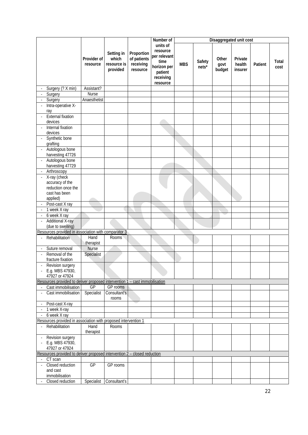|                          |                                                                             |                         |                                                |                                                    | Number of                                                                                       |            |                 |                         | Disaggregated unit cost      |         |               |
|--------------------------|-----------------------------------------------------------------------------|-------------------------|------------------------------------------------|----------------------------------------------------|-------------------------------------------------------------------------------------------------|------------|-----------------|-------------------------|------------------------------|---------|---------------|
|                          |                                                                             | Provider of<br>resource | Setting in<br>which<br>resource is<br>provided | Proportion<br>of patients<br>receiving<br>resource | units of<br>resource<br>per relevant<br>time<br>horizon per<br>patient<br>receiving<br>resource | <b>MBS</b> | Safety<br>nets* | Other<br>govt<br>budget | Private<br>health<br>insurer | Patient | Total<br>cost |
|                          | Surgery (? X min)                                                           | Assistant?              |                                                |                                                    |                                                                                                 |            |                 |                         |                              |         |               |
|                          | Surgery                                                                     | Nurse                   |                                                |                                                    |                                                                                                 |            |                 |                         |                              |         |               |
|                          | Surgery                                                                     | Anaesthetist            |                                                |                                                    |                                                                                                 |            |                 |                         |                              |         |               |
|                          | Intra-operative X-<br>ray                                                   |                         |                                                |                                                    |                                                                                                 |            |                 |                         |                              |         |               |
|                          | <b>External fixation</b><br>devices                                         |                         |                                                |                                                    |                                                                                                 |            |                 |                         |                              |         |               |
|                          | Internal fixation<br>devices                                                |                         |                                                |                                                    |                                                                                                 |            |                 |                         |                              |         |               |
|                          | Synthetic bone<br>grafting                                                  |                         |                                                |                                                    |                                                                                                 |            |                 |                         |                              |         |               |
|                          | Autologous bone<br>harvesting 47726                                         |                         |                                                |                                                    |                                                                                                 |            |                 |                         |                              |         |               |
|                          | Autologous bone<br>harvesting 47729                                         |                         |                                                |                                                    |                                                                                                 |            |                 |                         |                              |         |               |
|                          | Arthroscopy                                                                 |                         |                                                |                                                    |                                                                                                 |            |                 |                         |                              |         |               |
|                          | X-ray (check<br>accuracy of the<br>reduction once the                       |                         |                                                |                                                    |                                                                                                 |            |                 |                         |                              |         |               |
|                          | cast has been<br>applied)                                                   |                         |                                                |                                                    |                                                                                                 |            |                 |                         |                              |         |               |
|                          | Post-cast X ray                                                             |                         |                                                |                                                    |                                                                                                 |            |                 |                         |                              |         |               |
|                          | 1 week X ray                                                                |                         |                                                |                                                    |                                                                                                 |            |                 |                         |                              |         |               |
|                          | 6 week X ray                                                                |                         |                                                |                                                    |                                                                                                 |            |                 |                         |                              |         |               |
|                          | <b>Additional X-ray</b><br>(due to swelling)                                |                         |                                                |                                                    |                                                                                                 |            |                 |                         |                              |         |               |
|                          | Resources provided in association with comparator 3                         |                         |                                                |                                                    |                                                                                                 |            |                 |                         |                              |         |               |
|                          | Rehabilitation                                                              | Hand                    | <b>Rooms</b>                                   |                                                    |                                                                                                 |            |                 |                         |                              |         |               |
|                          |                                                                             | therapist               |                                                |                                                    |                                                                                                 |            |                 |                         |                              |         |               |
| $\overline{\phantom{a}}$ | Suture removal                                                              | Nurse                   |                                                |                                                    |                                                                                                 |            |                 |                         |                              |         |               |
|                          | Removal of the<br>fracture fixation                                         | Specialist              |                                                |                                                    |                                                                                                 |            |                 |                         |                              |         |               |
|                          | Revision surgery<br>E.g. MBS 47930,<br>47927 or 47924                       |                         |                                                |                                                    |                                                                                                 |            |                 |                         |                              |         |               |
|                          | Resources provided to deliver proposed intervention 1 - cast immobilisation |                         |                                                |                                                    |                                                                                                 |            |                 |                         |                              |         |               |
|                          | Cast immobilisation                                                         | GP                      | GP rooms                                       |                                                    |                                                                                                 |            |                 |                         |                              |         |               |
|                          | Cast immobilisation                                                         | Specialist              | Consultant's<br>rooms                          |                                                    |                                                                                                 |            |                 |                         |                              |         |               |
| $\blacksquare$           | Post-cast X-ray                                                             |                         |                                                |                                                    |                                                                                                 |            |                 |                         |                              |         |               |
|                          | 1 week X-ray                                                                |                         |                                                |                                                    |                                                                                                 |            |                 |                         |                              |         |               |
|                          | 6 week X ray                                                                |                         |                                                |                                                    |                                                                                                 |            |                 |                         |                              |         |               |
|                          | Resources provided in association with proposed intervention 1              |                         |                                                |                                                    |                                                                                                 |            |                 |                         |                              |         |               |
| $\blacksquare$           | Rehabilitation                                                              | Hand<br>therapist       | Rooms                                          |                                                    |                                                                                                 |            |                 |                         |                              |         |               |
| $\overline{\phantom{a}}$ | Revision surgery<br>E.g. MBS 47930,<br>47927 or 47924                       |                         |                                                |                                                    |                                                                                                 |            |                 |                         |                              |         |               |
|                          | Resources provided to deliver proposed intervention 2 - closed reduction    |                         |                                                |                                                    |                                                                                                 |            |                 |                         |                              |         |               |
|                          | CT scan                                                                     |                         |                                                |                                                    |                                                                                                 |            |                 |                         |                              |         |               |
|                          | Closed reduction<br>and cast<br>immobilisation                              | GP                      | GP rooms                                       |                                                    |                                                                                                 |            |                 |                         |                              |         |               |
| $\overline{\phantom{a}}$ | Closed reduction                                                            | Specialist              | Consultant's                                   |                                                    |                                                                                                 |            |                 |                         |                              |         |               |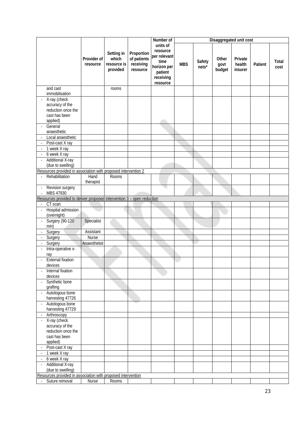|                                                                                     |                         |                                                |                                                    | Number of                                                                                       |            |                 |                         | Disaggregated unit cost      |         |               |
|-------------------------------------------------------------------------------------|-------------------------|------------------------------------------------|----------------------------------------------------|-------------------------------------------------------------------------------------------------|------------|-----------------|-------------------------|------------------------------|---------|---------------|
|                                                                                     | Provider of<br>resource | Setting in<br>which<br>resource is<br>provided | Proportion<br>of patients<br>receiving<br>resource | units of<br>resource<br>per relevant<br>time<br>horizon per<br>patient<br>receiving<br>resource | <b>MBS</b> | Safety<br>nets* | Other<br>govt<br>budget | Private<br>health<br>insurer | Patient | Total<br>cost |
| and cast                                                                            |                         | rooms                                          |                                                    |                                                                                                 |            |                 |                         |                              |         |               |
| immobilisation                                                                      |                         |                                                |                                                    |                                                                                                 |            |                 |                         |                              |         |               |
| X-ray (check<br>$\overline{\phantom{a}}$                                            |                         |                                                |                                                    |                                                                                                 |            |                 |                         |                              |         |               |
| accuracy of the                                                                     |                         |                                                |                                                    |                                                                                                 |            |                 |                         |                              |         |               |
| reduction once the                                                                  |                         |                                                |                                                    |                                                                                                 |            |                 |                         |                              |         |               |
| cast has been                                                                       |                         |                                                |                                                    |                                                                                                 |            |                 |                         |                              |         |               |
| applied)<br>General                                                                 |                         |                                                |                                                    |                                                                                                 |            |                 |                         |                              |         |               |
| anaesthetic                                                                         |                         |                                                |                                                    |                                                                                                 |            |                 |                         |                              |         |               |
| Local anaesthetic                                                                   |                         |                                                |                                                    |                                                                                                 |            |                 |                         |                              |         |               |
| Post-cast X ray<br>$\overline{\phantom{a}}$                                         |                         |                                                |                                                    |                                                                                                 |            |                 |                         |                              |         |               |
| 1 week X ray                                                                        |                         |                                                |                                                    |                                                                                                 |            |                 |                         |                              |         |               |
| 6 week X ray                                                                        |                         |                                                |                                                    |                                                                                                 |            |                 |                         |                              |         |               |
| <b>Additional X-ray</b>                                                             |                         |                                                |                                                    |                                                                                                 |            |                 |                         |                              |         |               |
| (due to swelling)<br>Resources provided in association with proposed intervention 2 |                         |                                                |                                                    |                                                                                                 |            |                 |                         |                              |         |               |
| Rehabilitation<br>$\overline{\phantom{a}}$                                          | Hand                    | Rooms                                          |                                                    |                                                                                                 |            |                 |                         |                              |         |               |
|                                                                                     | therapist               |                                                |                                                    |                                                                                                 |            |                 |                         |                              |         |               |
| Revision surgery<br>MBS 47930                                                       |                         |                                                |                                                    | ۰                                                                                               |            |                 |                         |                              |         |               |
| Resources provided to deliver proposed intervention 3 - open reduction              |                         |                                                |                                                    |                                                                                                 |            |                 |                         |                              |         |               |
| CT scan<br>$\overline{\phantom{a}}$                                                 |                         |                                                |                                                    |                                                                                                 |            |                 |                         |                              |         |               |
| Hospital admission                                                                  |                         |                                                |                                                    |                                                                                                 |            |                 |                         |                              |         |               |
| (overnight)                                                                         |                         |                                                |                                                    |                                                                                                 |            |                 |                         |                              |         |               |
| <b>Surgery (90-120</b><br>÷,<br>min)                                                | Specialist              |                                                |                                                    |                                                                                                 |            |                 |                         |                              |         |               |
| Surgery                                                                             | Assistant               |                                                |                                                    |                                                                                                 |            |                 |                         |                              |         |               |
| Surgery                                                                             | <b>Nurse</b>            |                                                |                                                    |                                                                                                 |            |                 |                         |                              |         |               |
| Surgery                                                                             | Anaesthetist            |                                                |                                                    |                                                                                                 |            |                 |                         |                              |         |               |
| Intra-operative x-<br>J.                                                            |                         |                                                |                                                    |                                                                                                 |            |                 |                         |                              |         |               |
| ray                                                                                 |                         |                                                |                                                    |                                                                                                 |            |                 |                         |                              |         |               |
| <b>External fixation</b><br>devices                                                 |                         |                                                |                                                    |                                                                                                 |            |                 |                         |                              |         |               |
| Internal fixation<br>devices                                                        |                         |                                                |                                                    |                                                                                                 |            |                 |                         |                              |         |               |
| Synthetic bone<br>grafting                                                          |                         |                                                |                                                    |                                                                                                 |            |                 |                         |                              |         |               |
| Autologous bone<br>harvesting 47726                                                 |                         |                                                |                                                    |                                                                                                 |            |                 |                         |                              |         |               |
| Autologous bone                                                                     |                         |                                                |                                                    |                                                                                                 |            |                 |                         |                              |         |               |
| harvesting 47729                                                                    |                         |                                                |                                                    |                                                                                                 |            |                 |                         |                              |         |               |
| Arthroscopy<br>X-ray (check<br>÷,                                                   |                         |                                                |                                                    |                                                                                                 |            |                 |                         |                              |         |               |
| accuracy of the                                                                     |                         |                                                |                                                    |                                                                                                 |            |                 |                         |                              |         |               |
| reduction once the                                                                  |                         |                                                |                                                    |                                                                                                 |            |                 |                         |                              |         |               |
| cast has been                                                                       |                         |                                                |                                                    |                                                                                                 |            |                 |                         |                              |         |               |
| applied)                                                                            |                         |                                                |                                                    |                                                                                                 |            |                 |                         |                              |         |               |
| Post-cast X ray<br>$\overline{\phantom{a}}$                                         |                         |                                                |                                                    |                                                                                                 |            |                 |                         |                              |         |               |
| 1 week X ray                                                                        |                         |                                                |                                                    |                                                                                                 |            |                 |                         |                              |         |               |
| 6 week X ray<br>$\overline{\phantom{a}}$<br><b>Additional X-ray</b>                 |                         |                                                |                                                    |                                                                                                 |            |                 |                         |                              |         |               |
| (due to swelling)                                                                   |                         |                                                |                                                    |                                                                                                 |            |                 |                         |                              |         |               |
| Resources provided in association with proposed intervention                        |                         |                                                |                                                    |                                                                                                 |            |                 |                         |                              |         |               |
| Suture removal                                                                      | Nurse                   | Rooms                                          |                                                    |                                                                                                 |            |                 |                         |                              |         |               |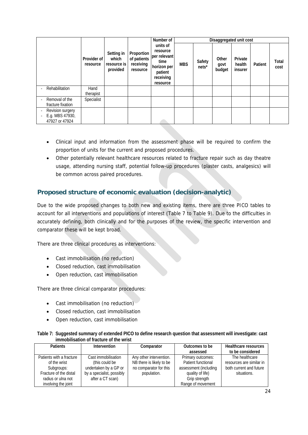|                                                            |                         |                                                |                                                    | Number of                                                                                       |            |                 | Disaggregated unit cost |                              |         |               |
|------------------------------------------------------------|-------------------------|------------------------------------------------|----------------------------------------------------|-------------------------------------------------------------------------------------------------|------------|-----------------|-------------------------|------------------------------|---------|---------------|
|                                                            | Provider of<br>resource | Setting in<br>which<br>resource is<br>provided | Proportion<br>of patients<br>receiving<br>resource | units of<br>resource<br>per relevant<br>time<br>horizon per<br>patient<br>receiving<br>resource | <b>MBS</b> | Safety<br>nets* | Other<br>govt<br>budget | Private<br>health<br>insurer | Patient | Total<br>cost |
| Rehabilitation                                             | Hand<br>therapist       |                                                |                                                    |                                                                                                 |            |                 |                         |                              |         |               |
| Removal of the<br>٠<br>fracture fixation                   | Specialist              |                                                |                                                    |                                                                                                 |            |                 |                         |                              |         |               |
| Revision surgery<br>٠<br>E.g. MBS 47930,<br>47927 or 47924 |                         |                                                |                                                    |                                                                                                 |            |                 |                         |                              |         |               |

- Clinical input and information from the assessment phase will be required to confirm the proportion of units for the current and proposed procedures.
- Other potentially relevant healthcare resources related to fracture repair such as day theatre usage, attending nursing staff, potential follow-up procedures (plaster casts, analgesics) will be common across paired procedures.

### **Proposed structure of economic evaluation (decision-analytic)**

Due to the wide proposed changes to both new and existing items, there are three PICO tables to account for all interventions and populations of interest (Table 7 to Table 9). Due to the difficulties in accurately defining, both clinically and for the purposes of the review, the specific intervention and comparator these will be kept broad.

There are three clinical procedures as interventions:

- Cast immobilisation (no reduction)
- Closed reduction, cast immobilisation
- Open reduction, cast immobilisation

There are three clinical comparator procedures:

- Cast immobilisation (no reduction)
- Closed reduction, cast immobilisation
- Open reduction, cast immobilisation

|                                         | Table 7: Suggested summary of extended PICO to define research question that assessment will investigate: cast |
|-----------------------------------------|----------------------------------------------------------------------------------------------------------------|
| immobilisation of fracture of the wrist |                                                                                                                |

| <b>Patients</b>          | Intervention              | Comparator               | Outcomes to be        | Healthcare resources     |
|--------------------------|---------------------------|--------------------------|-----------------------|--------------------------|
|                          |                           |                          | assessed              | to be considered         |
| Patients with a fracture | Cast immobilisation       | Any other intervention.  | Primary outcomes:     | The healthcare           |
| of the wrist             | (this could be            | NB there is likely to be | Patient functional    | resources are similar in |
| Subgroups:               | undertaken by a GP or     | no comparator for this   | assessment (including | both current and future  |
| Fracture of the distal   | by a specialist, possibly | population.              | quality of life)      | situations.              |
| radius or ulna not       | after a CT scan)          |                          | Grip strength         |                          |
| involving the joint      |                           |                          | Range of movement     |                          |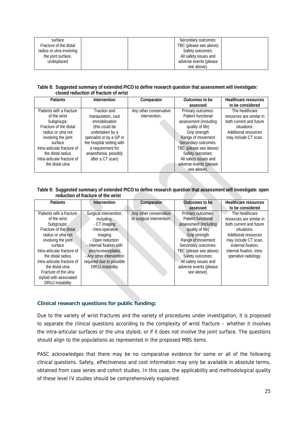| surface                  | Secondary outcomes:    |  |
|--------------------------|------------------------|--|
| Fracture of the distal   | TBC (please see above) |  |
| radius or ulna involving | Safety outcomes:       |  |
| the joint surface,       | All safety issues and  |  |
| undisplaced              | adverse events (please |  |
|                          | see above).            |  |

**Table 8: Suggested summary of extended PICO to define research question that assessment will investigate: closed reduction of fracture of wrist** 

| <b>Patients</b>             | Intervention              | Comparator             | Outcomes to be         | Healthcare resources     |
|-----------------------------|---------------------------|------------------------|------------------------|--------------------------|
|                             |                           |                        | assessed               | to be considered         |
| Patients with a fracture    | Traction and              | Any other conservative | Primary outcomes:      | The healthcare           |
| of the wrist                | manipulation, cast        | intervention.          | Patient functional     | resources are similar in |
| Subgroups:                  | immobilisation            |                        | assessment (including  | both current and future  |
| Fracture of the distal      | (this could be            |                        | quality of life)       | situations.              |
| radius or ulna not          | undertaken by a           |                        | Grip strength          | Additional resources     |
| involving the joint         | specialist or by a GP in  |                        | Range of movement      | may include CT scan.     |
| surface                     | the hospital setting with |                        | Secondary outcomes:    |                          |
| Intra-articular fracture of | a requirement for         |                        | TBC (please see above) |                          |
| the distal radius           | anaesthesia, possibly     |                        | Safety outcomes:       |                          |
| Intra-articular fracture of | after a CT scan)          |                        | All safety issues and  |                          |
| the distal ulna             |                           |                        | adverse events (please |                          |
|                             |                           |                        | see above).            |                          |

**Table 9: Suggested summary of extended PICO to define research question that assessment will investigate: open reduction of fracture of the wrist** 

| <b>Patients</b>             | Intervention             | Comparator                | Outcomes to be         | <b>Healthcare resources</b> |
|-----------------------------|--------------------------|---------------------------|------------------------|-----------------------------|
|                             |                          |                           | assessed               | to be considered            |
| Patients with a fracture    | Surgical intervention,   | Any other conservative    | Primary outcomes:      | The healthcare              |
| of the wrist                | including:               | or surgical intervention. | Patient functional     | resources are similar in    |
| Subgroups:                  | - CT imaging             |                           | assessment (including  | both current and future     |
| Fracture of the distal      | - Intra-operative        |                           | quality of life)       | situations.                 |
| radius or ulna not          | imaging                  |                           | Grip strength          | Additional resources        |
| involving the joint         | - Open reduction         |                           | Range of movement      | may include CT scan,        |
| surface                     | - Internal fixation with |                           | Secondary outcomes:    | external fixation.          |
| Intra-articular fracture of | pins/screws/plates       |                           | TBC (please see above) | internal fixation, intra-   |
| the distal radius           | - Any other intervention |                           | Safety outcomes:       | operative radiology.        |
| Intra-articular fracture of | required due to possible |                           | All safety issues and  |                             |
| the distal ulna             | <b>DRUJ</b> instability  |                           | adverse events (please |                             |
| Fracture of the ulna        |                          |                           | see above).            |                             |
| styloid with associated     |                          |                           |                        |                             |
| <b>DRUJ</b> instability     |                          |                           |                        |                             |

### **Clinical research questions for public funding:**

Due to the variety of wrist fractures and the variety of procedures under investigation, it is proposed to separate the clinical questions according to the complexity of wrist fracture – whether it involves the intra-articular surfaces or the ulna styloid, or if it does not involve the joint surface. The questions should align to the populations as represented in the proposed MBS items.

PASC acknowledges that there may be no comparative evidence for some or all of the following clinical questions. Safety, effectiveness and cost information may only be available in absolute terms, obtained from case series and cohort studies. In this case, the applicability and methodological quality of these level IV studies should be comprehensively explained.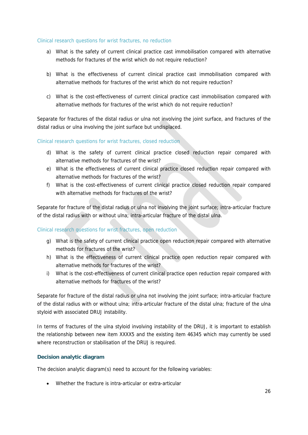### Clinical research questions for wrist fractures, no reduction

- a) What is the safety of current clinical practice cast immobilisation compared with alternative methods for fractures of the wrist which do not require reduction?
- b) What is the effectiveness of current clinical practice cast immobilisation compared with alternative methods for fractures of the wrist which do not require reduction?
- c) What is the cost-effectiveness of current clinical practice cast immobilisation compared with alternative methods for fractures of the wrist which do not require reduction?

Separate for fractures of the distal radius or ulna not involving the joint surface, and fractures of the distal radius or ulna involving the joint surface but undisplaced.

Clinical research questions for wrist fractures, closed reduction

- d) What is the safety of current clinical practice closed reduction repair compared with alternative methods for fractures of the wrist?
- e) What is the effectiveness of current clinical practice closed reduction repair compared with alternative methods for fractures of the wrist?
- f) What is the cost-effectiveness of current clinical practice closed reduction repair compared with alternative methods for fractures of the wrist?

Separate for fracture of the distal radius or ulna not involving the joint surface; intra-articular fracture of the distal radius with or without ulna; intra-articular fracture of the distal ulna.

### Clinical research questions for wrist fractures, open reduction

- g) What is the safety of current clinical practice open reduction repair compared with alternative methods for fractures of the wrist?
- h) What is the effectiveness of current clinical practice open reduction repair compared with alternative methods for fractures of the wrist?
- i) What is the cost-effectiveness of current clinical practice open reduction repair compared with alternative methods for fractures of the wrist?

Separate for fracture of the distal radius or ulna not involving the joint surface; intra-articular fracture of the distal radius with or without ulna; intra-articular fracture of the distal ulna; fracture of the ulna styloid with associated DRUJ instability.

In terms of fractures of the ulna styloid involving instability of the DRUJ, it is important to establish the relationship between new item XXXX5 and the existing item 46345 which may currently be used where reconstruction or stabilisation of the DRUJ is required.

### **Decision analytic diagram**

The decision analytic diagram(s) need to account for the following variables:

Whether the fracture is intra-articular or extra-articular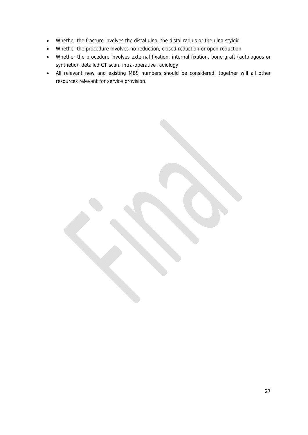- Whether the fracture involves the distal ulna, the distal radius or the ulna styloid
- Whether the procedure involves no reduction, closed reduction or open reduction
- Whether the procedure involves external fixation, internal fixation, bone graft (autologous or synthetic), detailed CT scan, intra-operative radiology
- All relevant new and existing MBS numbers should be considered, together will all other resources relevant for service provision.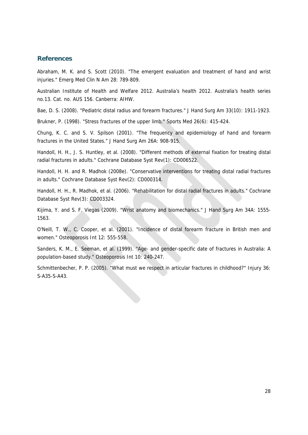### **References**

Abraham, M. K. and S. Scott (2010). "The emergent evaluation and treatment of hand and wrist injuries." Emerg Med Clin N Am 28: 789-809.

Australian Institute of Health and Welfare 2012. Australia's health 2012. Australia's health series no.13. Cat. no. AUS 156. Canberra: AIHW.

Bae, D. S. (2008). "Pediatric distal radius and forearm fractures." J Hand Surg Am 33(10): 1911-1923.

Brukner, P. (1998). "Stress fractures of the upper limb." Sports Med 26(6): 415-424.

Chung, K. C. and S. V. Spilson (2001). "The frequency and epidemiology of hand and forearm fractures in the United States." J Hand Surg Am 26A: 908-915.

Handoll, H. H., J. S. Huntley, et al. (2008). "Different methods of external fixation for treating distal radial fractures in adults." Cochrane Database Syst Rev(1): CD006522.

Handoll, H. H. and R. Madhok (2008e). "Conservative interventions for treating distal radial fractures in adults." Cochrane Database Syst Rev(2): CD000314.

Handoll, H. H., R. Madhok, et al. (2006). "Rehabilitation for distal radial fractures in adults." Cochrane Database Syst Rev(3): CD003324.

Kijima, Y. and S. F. Viegas (2009). "Wrist anatomy and biomechanics." J Hand Surg Am 34A: 1555- 1563.

O'Neill, T. W., C. Cooper, et al. (2001). "Incidence of distal forearm fracture in British men and women." Osteoporosis Int 12: 555-558.

Sanders, K. M., E. Seeman, et al. (1999). "Age- and gender-specific date of fractures in Australia: A population-based study." Osteoporosis Int 10: 240-247.

Schmittenbecher, P. P. (2005). "What must we respect in articular fractures in childhood?" Injury 36: S-A35-S-A43.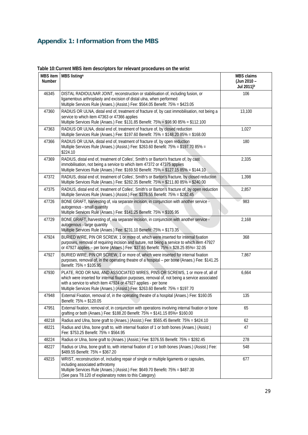# **Appendix 1: Information from the MBS**

| MBS item<br><b>Number</b> | MBS listing <sup>a</sup>                                                                                                                                                                                                                                                                                                             | <b>MBS</b> claims<br>(Jun 2010 -<br>Jul 2011) <sup>b</sup> |
|---------------------------|--------------------------------------------------------------------------------------------------------------------------------------------------------------------------------------------------------------------------------------------------------------------------------------------------------------------------------------|------------------------------------------------------------|
| 46345                     | DISTAL RADIOULNAR JOINT, reconstruction or stabilisation of, including fusion, or<br>ligamentous arthroplasty and excision of distal ulna, when performed<br>Multiple Services Rule (Anaes.) (Assist.) Fee: \$564.05 Benefit: 75% = \$423.05                                                                                         | 106                                                        |
| 47360                     | RADIUS OR ULNA, distal end of, treatment of fracture of, by cast immobilisation, not being a<br>service to which item 47363 or 47366 applies<br>Multiple Services Rule (Anaes.) Fee: \$131.85 Benefit: 75% = \$98.90 85% = \$112.100                                                                                                 | 13,100                                                     |
| 47363                     | RADIUS OR ULNA, distal end of, treatment of fracture of, by closed reduction<br>Multiple Services Rule (Anaes.) Fee: \$197.60 Benefit: 75% = \$148.20 85% = \$168.00                                                                                                                                                                 | 1,027                                                      |
| 47366                     | RADIUS OR ULNA, distal end of, treatment of fracture of, by open reduction<br>Multiple Services Rule (Anaes.) (Assist.) Fee: \$263.60 Benefit: 75% = \$197.70 85% =<br>\$224.10                                                                                                                                                      | 180                                                        |
| 47369                     | RADIUS, distal end of, treatment of Colles', Smith's or Barton's fracture of, by cast<br>immobilisation, not being a service to which item 47372 or 47375 applies<br>Multiple Services Rule (Anaes.) Fee: \$169.50 Benefit: 75% = \$127.15 85% = \$144.10                                                                            | 2,335                                                      |
| 47372                     | RADIUS, distal end of, treatment of Colles', Smith's or Barton's fracture, by closed reduction<br>Multiple Services Rule (Anaes.) Fee: \$282.35 Benefit: 75% = \$211.80 85% = \$240.00                                                                                                                                               | 1,398                                                      |
| 47375                     | RADIUS, distal end of, treatment of Colles', Smith's or Barton's fracture of, by open reduction<br>Multiple Services Rule (Anaes.) (Assist.) Fee: \$376.55 Benefit: 75% = \$282.45                                                                                                                                                   | 2,857                                                      |
| 47726                     | BONE GRAFT, harvesting of, via separate incision, in conjunction with another service -<br>autogenous - small quantity<br>Multiple Services Rule (Anaes.) Fee: \$141.25 Benefit: 75% = \$105.95                                                                                                                                      | 983                                                        |
| 47729                     | BONE GRAFT, harvesting of, via separate incision, in conjunction with another service -<br>autogenous - large quantity<br>Multiple Services Rule (Anaes.) Fee: \$231.10 Benefit: 75% = \$173.35                                                                                                                                      | 2,168                                                      |
| 47924                     | BURIED WIRE, PIN OR SCREW, 1 or more of, which were inserted for internal fixation<br>purposes, removal of requiring incision and suture, not being a service to which item 47927<br>or 47927 applies - per bone (Anaes.) Fee: \$37.65 Benefit: 75% = \$28.25 85% = 32.05                                                            | 368                                                        |
| 47927                     | BURIED WIRE, PIN OR SCREW, 1 or more of, which were inserted for internal fixation<br>purposes, removal of, in the operating theatre of a hospital - per bone (Anaes.) Fee: \$141.25<br>Benefit: 75% = \$105.95                                                                                                                      | 7,867                                                      |
| 47930                     | PLATE, ROD OR NAIL AND ASSOCIATED WIRES, PINS OR SCREWS, 1 or more of, all of<br>which were inserted for internal fixation purposes, removal of, not being a service associated<br>with a service to which item 47924 or 47927 applies - per bone<br>Multiple Services Rule (Anaes.) (Assist.) Fee: \$263.60 Benefit: 75% = \$197.70 | 6,664                                                      |
| 47948                     | External Fixation, removal of, in the operating theatre of a hospital (Anaes.) Fee: \$160.05<br>Benefit: 75% = \$120.05                                                                                                                                                                                                              | 135                                                        |
| 47951                     | External fixation, removal of, in conjunction with operations involving internal fixation or bone<br>grafting or both (Anaes.) Fee: \$188.20 Benefit: 75% = \$141.15 85% = \$160.00                                                                                                                                                  | 65                                                         |
| 48218                     | Radius and Ulna, bone graft to (Anaes.) (Assist.) Fee: \$565.45 Benefit: 75% = \$424.10                                                                                                                                                                                                                                              | 62                                                         |
| 48221                     | Radius and Ulna, bone graft to, with internal fixation of 1 or both bones (Anaes.) (Assist.)<br>Fee: \$753.25 Benefit: 75% = \$564.95                                                                                                                                                                                                | 47                                                         |
| 48224                     | Radius or Ulna, bone graft to (Anaes.) (Assist.) Fee: \$376.55 Benefit: 75% = \$282.45                                                                                                                                                                                                                                               | 278                                                        |
| 48227                     | Radius or Ulna, bone graft to, with internal fixation of 1 or both bones (Anaes.) (Assist.) Fee:<br>\$489.55 Benefit: 75% = \$367.20                                                                                                                                                                                                 | 548                                                        |
| 49215                     | WRIST, reconstruction of, including repair of single or multiple ligaments or capsules,<br>including associated arthrotomy<br>Multiple Services Rule (Anaes.) (Assist.) Fee: \$649.70 Benefit: 75% = \$487.30<br>(See para T8.120 of explanatory notes to this Category)                                                             | 677                                                        |

### **Table 10: Current MBS item descriptors for relevant procedures on the wrist**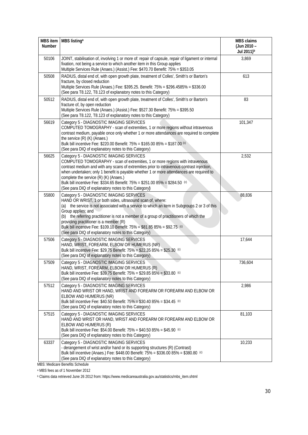| <b>Number</b> | MBS item   MBS listing <sup>a</sup>                                                                                                                                                                                                                                                                                                                                                                                                                                                                      | <b>MBS</b> claims<br>(Jun 2010 -<br>Jul 2011) <sup>b</sup> |
|---------------|----------------------------------------------------------------------------------------------------------------------------------------------------------------------------------------------------------------------------------------------------------------------------------------------------------------------------------------------------------------------------------------------------------------------------------------------------------------------------------------------------------|------------------------------------------------------------|
| 50106         | JOINT, stabilisation of, involving 1 or more of: repair of capsule, repair of ligament or internal<br>fixation, not being a service to which another item in this Group applies<br>Multiple Services Rule (Anaes.) (Assist.) Fee: \$470.70 Benefit: 75% = \$353.05                                                                                                                                                                                                                                       | 3,869                                                      |
| 50508         | RADIUS, distal end of, with open growth plate, treatment of Colles', Smith's or Barton's<br>fracture, by closed reduction<br>Multiple Services Rule (Anaes.) Fee: \$395.25. Benefit: 75% = \$296.4585% = \$336.00<br>(See para T8.122, T8.123 of explanatory notes to this Category)                                                                                                                                                                                                                     | 613                                                        |
| 50512         | RADIUS, distal end of, with open growth plate, treatment of Colles', Smith's or Barton's<br>fracture of, by open reduction<br>Multiple Services Rule (Anaes.) (Assist.) Fee: \$527.30 Benefit: 75% = \$395.50<br>(See para T8.122, T8.123 of explanatory notes to this Category)                                                                                                                                                                                                                         | 83                                                         |
| 56619         | Category 5 - DIAGNOSTIC IMAGING SERVICES<br>COMPUTED TOMOGRAPHY - scan of extremities, 1 or more regions without intravenous<br>contrast medium, payable once only whether 1 or more attendances are required to complete<br>the service (R) (K) (Anaes.)<br>Bulk bill incentive Fee: \$220.00 Benefit: 75% = \$165.00 85% = \$187.00 (c)<br>(See para DIQ of explanatory notes to this Category)                                                                                                        | 101,347                                                    |
| 56625         | Category 5 - DIAGNOSTIC IMAGING SERVICES<br>COMPUTED TOMOGRAPHY - scan of extremities, 1 or more regions with intravenous<br>contrast medium and with any scans of extremities prior to intravenous contrast injection,<br>when undertaken; only 1 benefit is payable whether 1 or more attendances are required to<br>complete the service (R) (K) (Anaes.)<br>Bulk bill incentive Fee: \$334.65 Benefit: 75% = \$251.00 85% = \$284.50 (c)<br>(See para DIQ of explanatory notes to this Category)     | 2,532                                                      |
| 55800         | Category 5 - DIAGNOSTIC IMAGING SERVICES<br>HAND OR WRIST, 1 or both sides, ultrasound scan of, where:<br>(a) the service is not associated with a service to which an item in Subgroups 2 or 3 of this<br>Group applies; and<br>(b) the referring practitioner is not a member of a group of practitioners of which the<br>providing practitioner is a member (R)<br>Bulk bill incentive Fee: \$109.10 Benefit: 75% = \$81.85 85% = \$92.75 (c)<br>(See para DIQ of explanatory notes to this Category) | 88,836                                                     |
| 57506         | Category 5 - DIAGNOSTIC IMAGING SERVICES<br>HAND, WRIST, FOREARM, ELBOW OR HUMERUS (NR)<br>Bulk bill incentive Fee: \$29.75 Benefit: 75% = \$22.35 85% = \$25.30 <sup>(c)</sup><br>(See para DIQ of explanatory notes to this Category)                                                                                                                                                                                                                                                                  | 17,644                                                     |
| 57509         | Category 5 - DIAGNOSTIC IMAGING SERVICES<br>HAND, WRIST, FOREARM, ELBOW OR HUMERUS (R)<br>Bulk bill incentive Fee: \$39.75 Benefit: 75% = \$29.85 85% = \$33.80 <sup>(c)</sup><br>(See para DIQ of explanatory notes to this Category)                                                                                                                                                                                                                                                                   | 736,604                                                    |
| 57512         | Category 5 - DIAGNOSTIC IMAGING SERVICES<br>HAND AND WRIST OR HAND, WRIST AND FOREARM OR FOREARM AND ELBOW OR<br>ELBOW AND HUMERUS (NR)<br>Bulk bill incentive Fee: \$40.50 Benefit: 75% = \$30.40 85% = \$34.45 (c)<br>(See para DIQ of explanatory notes to this Category)                                                                                                                                                                                                                             | 2,986                                                      |
| 57515         | Category 5 - DIAGNOSTIC IMAGING SERVICES<br>HAND AND WRIST OR HAND, WRIST AND FOREARM OR FOREARM AND ELBOW OR<br>ELBOW AND HUMERUS (R)<br>Bulk bill incentive Fee: \$54.00 Benefit: 75% = \$40.50 85% = \$45.90 <sup>(c)</sup><br>(See para DIQ of explanatory notes to this Category)                                                                                                                                                                                                                   | 81,103                                                     |
| 63337         | Category 5 - DIAGNOSTIC IMAGING SERVICES<br>- derangement of wrist and/or hand or its supporting structures (R) (Contrast)<br>Bulk bill incentive (Anaes.) Fee: \$448.00 Benefit: 75% = \$336.00 85% = \$380.80 <sup>(c)</sup><br>(See para DIQ of explanatory notes to this Category)                                                                                                                                                                                                                   | 10,233                                                     |

MBS: Medicare Benefits Schedule

a MBS fees as of 1 November 2012

b Claims data retrieved June 26 2012 from: https://www.medicareaustralia.gov.au/statistics/mbs\_item.shtml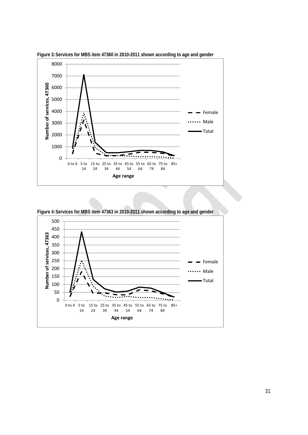

**Figure 3: Services for MBS item 47360 in 2010-2011 shown according to age and gender** 



**Figure 4: Services for MBS item 47363 in 2010-2011 shown according to age and gender**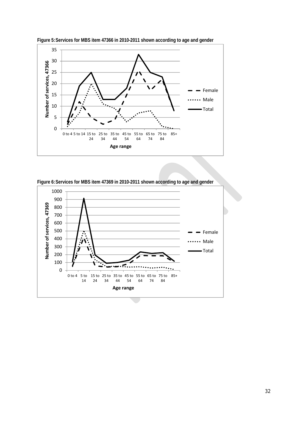

**Figure 5: Services for MBS item 47366 in 2010-2011 shown according to age and gender** 



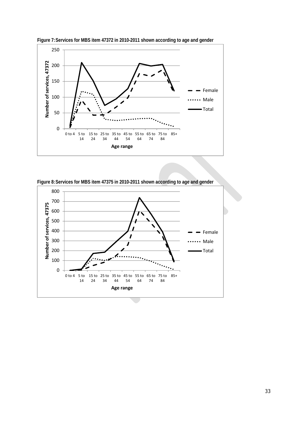

**Figure 7: Services for MBS item 47372 in 2010-2011 shown according to age and gender** 

**Figure 8: Services for MBS item 47375 in 2010-2011 shown according to age and gender** 

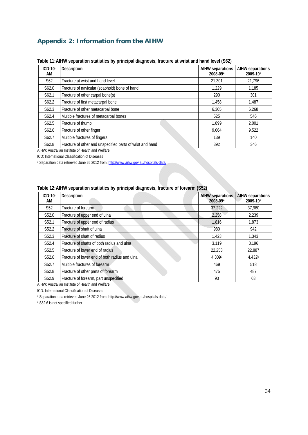## **Appendix 2: Information from the AIHW**

| ICD-10-<br>AM      | Description                                               | <b>AIHW separations</b><br>2008-09 <sup>a</sup> | <b>AIHW separations</b><br>2009-10 <sup>a</sup> |
|--------------------|-----------------------------------------------------------|-------------------------------------------------|-------------------------------------------------|
| S <sub>62</sub>    | Fracture at wrist and hand level                          | 21,301                                          | 21.796                                          |
| S62.0              | Fracture of navicular (scaphoid) bone of hand             | 1.229                                           | 1,185                                           |
| S62.1              | Fracture of other carpal bone(s)                          | 290                                             | 301                                             |
| S <sub>62.2</sub>  | Fracture of first metacarpal bone                         | 1,458                                           | 1.487                                           |
| S <sub>6</sub> 2.3 | Fracture of other metacarpal bone                         | 6,305                                           | 6,268                                           |
| S62.4              | Multiple fractures of metacarpal bones                    | 525                                             | 546                                             |
| S <sub>62.5</sub>  | Fracture of thumb                                         | 1.899                                           | 2.001                                           |
| S62.6              | Fracture of other finger                                  | 9.064                                           | 9,522                                           |
| S62.7              | Multiple fractures of fingers                             | 139                                             | 140                                             |
| S62.8              | Fracture of other and unspecified parts of wrist and hand | 392                                             | 346                                             |

#### **Table 11: AIHW separation statistics by principal diagnosis, fracture at wrist and hand level (S62)**

AIHW: Australian Institute of Health and Welfare ICD: International Classification of Diseases

a Separation data retrieved June 26 2012 from: http://www.aihw.gov.au/hospitals-data/

#### **Table 12: AIHW separation statistics by principal diagnosis, fracture of forearm (S52)**

| ICD-10-<br>AM     | Description                                   | <b>AIHW</b> separations<br>2008-09 <sup>a</sup> | <b>AIHW separations</b><br>2009-10 <sup>a</sup> |
|-------------------|-----------------------------------------------|-------------------------------------------------|-------------------------------------------------|
| S <sub>52</sub>   | Fracture of forearm                           | 37,222                                          | 37,980                                          |
| S <sub>52.0</sub> | Fracture of upper end of ulna                 | 2,258                                           | 2,239                                           |
| S <sub>52.1</sub> | Fracture of upper end of radius               | 1,816                                           | 1,873                                           |
| S52.2             | Fracture of shaft of ulna                     | 980                                             | 942                                             |
| S52.3             | Fracture of shaft of radius                   | 1.423                                           | 1.343                                           |
| S <sub>52.4</sub> | Fracture of shafts of both radius and ulna    | 3,119                                           | 3,196                                           |
| S <sub>52.5</sub> | Fracture of lower end of radius               | 22,253                                          | 22,887                                          |
| S <sub>52.6</sub> | Fracture of lower end of both radius and ulna | 4.309b                                          | 4.432 <sup>b</sup>                              |
| S52.7             | Multiple fractures of forearm                 | 469                                             | 518                                             |
| S <sub>52.8</sub> | Fracture of other parts of forearm            | 475                                             | 487                                             |
| S52.9             | Fracture of forearm, part unspecified         | 93                                              | 63                                              |

AIHW: Australian Institute of Health and Welfare

ICD: International Classification of Diseases

a Separation data retrieved June 26 2012 from: http://www.aihw.gov.au/hospitals-data/

**b** S52.6 is not specified further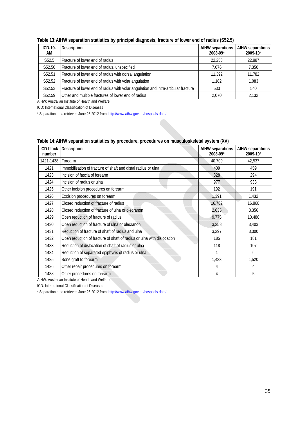| $ICD-10-$<br>AM   | Description                                                                        | <b>AIHW separations</b><br>2008-09 <sup>a</sup> | <b>AIHW separations</b><br>2009-10 <sup>a</sup> |
|-------------------|------------------------------------------------------------------------------------|-------------------------------------------------|-------------------------------------------------|
| S <sub>52.5</sub> | Fracture of lower end of radius                                                    | 22.253                                          | 22.887                                          |
| S52.50            | Fracture of lower end of radius, unspecified                                       | 7.076                                           | 7,350                                           |
| S52.51            | Fracture of lower end of radius with dorsal angulation                             | 11,392                                          | 11,782                                          |
| S52.52            | Fracture of lower end of radius with volar angulation                              | 1.182                                           | 1,083                                           |
| S52.53            | Fracture of lower end of radius with volar angulation and intra-articular fracture | 533                                             | 540                                             |
| S52.59            | Other and multiple fractures of lower end of radius                                | 2.070                                           | 2.132                                           |

**Table 13: AIHW separation statistics by principal diagnosis, fracture of lower end of radius (S52.5)** 

AIHW: Australian Institute of Health and Welfare

ICD: International Classification of Diseases

a Separation data retrieved June 26 2012 from: http://www.aihw.gov.au/hospitals-data/

| Table 14: AIHW separation statistics by procedure, procedures on musculoskeletal system (XV) |
|----------------------------------------------------------------------------------------------|
|----------------------------------------------------------------------------------------------|

| <b>ICD block</b><br>number | <b>Description</b>                                                     | <b>AIHW separations</b><br>2008-09 <sup>a</sup> | <b>AIHW</b> separations<br>2009-10 <sup>a</sup> |
|----------------------------|------------------------------------------------------------------------|-------------------------------------------------|-------------------------------------------------|
| 1421-1438                  | Forearm                                                                | 40,709                                          | 42,537                                          |
| 1421                       | Immobilisation of fracture of shaft and distal radius or ulna          | 409                                             | 459                                             |
| 1423                       | Incision of fascia of forearm                                          | 328                                             | 294                                             |
| 1424                       | Incision of radius or ulna                                             | 977                                             | 933                                             |
| 1425                       | Other incision procedures on forearm                                   | 192                                             | 191                                             |
| 1426                       | Excision procedures on forearm                                         | 1,391                                           | 1,432                                           |
| 1427                       | Closed reduction of fracture of radius                                 | 16,702                                          | 16,860                                          |
| 1428                       | Closed reduction of fracture of ulna or olecranon                      | 2,635                                           | 3,356                                           |
| 1429                       | Open reduction of fracture of radius                                   | 9,775                                           | 10,486                                          |
| 1430                       | Open reduction of fracture of ulna or olecranon                        | 3,258                                           | 3,403                                           |
| 1431                       | Reduction of fracture of shaft of radius and ulna                      | 3,297                                           | 3,300                                           |
| 1432                       | Open reduction of fracture of shaft of radius or ulna with dislocation | 185                                             | 181                                             |
| 1433                       | Reduction of dislocation of shaft of radius or ulna                    | 118                                             | 107                                             |
| 1434                       | Reduction of separated epiphysis of radius or ulna                     |                                                 | 6                                               |
| 1435                       | Bone graft to forearm                                                  | 1,433                                           | 1,520                                           |
| 1436                       | Other repair procedures on forearm                                     | 4                                               | 4                                               |
| 1438                       | Other procedures on forearm                                            | 4                                               | 5                                               |

AIHW: Australian Institute of Health and Welfare

ICD: International Classification of Diseases

a Separation data retrieved June 26 2012 from: http://www.aihw.gov.au/hospitals-data/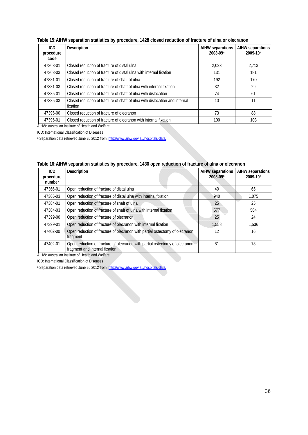| Table 15:AIHW separation statistics by procedure, 1428 closed reduction of fracture of ulna or olecranon |  |  |  |
|----------------------------------------------------------------------------------------------------------|--|--|--|
|----------------------------------------------------------------------------------------------------------|--|--|--|

| ICD<br>procedure<br>code | Description                                                                             | AIHW separations<br>2008-09 <sup>a</sup> | AIHW separations<br>2009-10 <sup>a</sup> |
|--------------------------|-----------------------------------------------------------------------------------------|------------------------------------------|------------------------------------------|
| 47363-01                 | Closed reduction of fracture of distal ulna                                             | 2.023                                    | 2.713                                    |
| 47363-03                 | Closed reduction of fracture of distal ulna with internal fixation                      | 131                                      | 181                                      |
| 47381-01                 | Closed reduction of fracture of shaft of ulna                                           | 192                                      | 170                                      |
| 47381-03                 | Closed reduction of fracture of shaft of ulna with internal fixation                    | 32                                       | 29                                       |
| 47385-01                 | Closed reduction of fracture of shaft of ulna with dislocation                          | 74                                       | 61                                       |
| 47385-03                 | Closed reduction of fracture of shaft of ulna with dislocation and internal<br>fixation | 10                                       | 11                                       |
| 47396-00                 | Closed reduction of fracture of olecranon                                               | 73                                       | 88                                       |
| 47396-01                 | Closed reduction of fracture of olecranon with internal fixation                        | 100                                      | 103                                      |

AIHW: Australian Institute of Health and Welfare ICD: International Classification of Diseases

a Separation data retrieved June 26 2012 from: http://www.aihw.gov.au/hospitals-data/

| ICD<br>procedure<br>number | <b>Description</b>                                                                                            | <b>AIHW separations</b><br>2008-09 <sup>a</sup> | <b>AIHW</b> separations<br>2009-10 <sup>a</sup> |
|----------------------------|---------------------------------------------------------------------------------------------------------------|-------------------------------------------------|-------------------------------------------------|
| 47366-01                   | Open reduction of fracture of distal ulna                                                                     | 40                                              | 65                                              |
| 47366-03                   | Open reduction of fracture of distal ulna with internal fixation                                              | 940                                             | 1.075                                           |
| 47384-01                   | Open reduction of fracture of shaft of ulna                                                                   | 25                                              | 25                                              |
| 47384-03                   | Open reduction of fracture of shaft of ulna with internal fixation                                            | 577                                             | 584                                             |
| 47399-00                   | Open reduction of fracture of olecranon                                                                       | 25                                              | 24                                              |
| 47399-01                   | Open reduction of fracture of olecranon with internal fixation                                                | 1.558                                           | 1.536                                           |
| 47402-00                   | Open reduction of fracture of olecranon with partial ostectomy of olecranon<br>fragment                       | 12                                              | 16                                              |
| 47402-01                   | Open reduction of fracture of olecranon with partial ostectomy of olecranon<br>fragment and internal fixation | 81                                              | 78                                              |

| Table 16:AIHW separation statistics by procedure, 1430 open reduction of fracture of ulna or olecranon |  |  |  |  |
|--------------------------------------------------------------------------------------------------------|--|--|--|--|
|--------------------------------------------------------------------------------------------------------|--|--|--|--|

AIHW: Australian Institute of Health and Welfare

ICD: International Classification of Diseases

a Separation data retrieved June 26 2012 from: http://www.aihw.gov.au/hospitals-data/